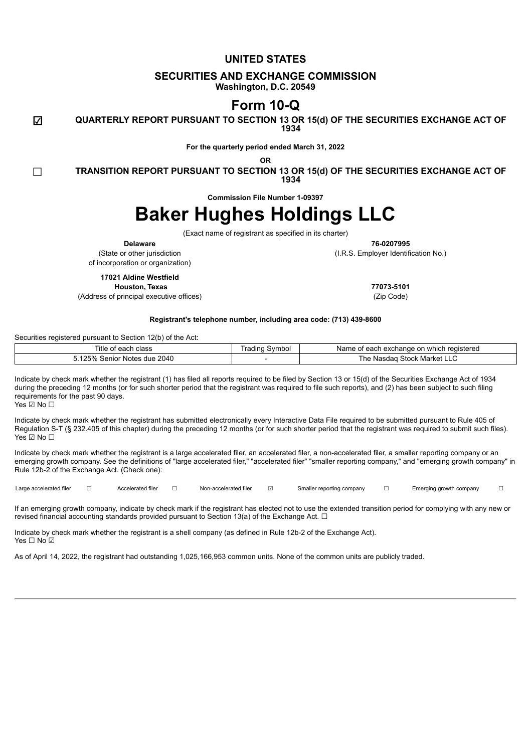**UNITED STATES**

**SECURITIES AND EXCHANGE COMMISSION**

**Washington, D.C. 20549**

# **Form 10-Q**

☑ **QUARTERLY REPORT PURSUANT TO SECTION 13 OR 15(d) OF THE SECURITIES EXCHANGE ACT OF 1934**

**For the quarterly period ended March 31, 2022**

**OR**

☐ **TRANSITION REPORT PURSUANT TO SECTION 13 OR 15(d) OF THE SECURITIES EXCHANGE ACT OF 1934**

**Commission File Number 1-09397**

# **Baker Hughes Holdings LLC**

(Exact name of registrant as specified in its charter)

(State or other jurisdiction (I.R.S. Employer Identification No.) of incorporation or organization)

**Delaware 76-0207995**

**17021 Aldine Westfield**

**Houston, Texas 77073-5101** (Address of principal executive offices) (Zip Code)

## **Registrant's telephone number, including area code: (713) 439-8600**

Securities registered pursuant to Section 12(b) of the Act:

| class<br>$\sim$<br>- 01<br>'uc<br>cau                | Symbol<br>ro o<br>'nc<br>1 du | registereg<br>, which<br>— Namic<br>exchange on<br>ove<br><b>AAAF</b><br>саи |
|------------------------------------------------------|-------------------------------|------------------------------------------------------------------------------|
| 2040<br><b>OR04</b><br>due<br>Notes<br>Senio<br>- 70 |                               | 'he<br>Market<br>Stock<br>Nasdad<br>ㄴㄴㄴ<br>$\sim$                            |

Indicate by check mark whether the registrant (1) has filed all reports required to be filed by Section 13 or 15(d) of the Securities Exchange Act of 1934 during the preceding 12 months (or for such shorter period that the registrant was required to file such reports), and (2) has been subject to such filing requirements for the past 90 days. Yes ☑ No □

Indicate by check mark whether the registrant has submitted electronically every Interactive Data File required to be submitted pursuant to Rule 405 of Regulation S-T (§ 232.405 of this chapter) during the preceding 12 months (or for such shorter period that the registrant was required to submit such files). Yes ☑ No □

Indicate by check mark whether the registrant is a large accelerated filer, an accelerated filer, a non-accelerated filer, a smaller reporting company or an emerging growth company. See the definitions of "large accelerated filer," "accelerated filer" "smaller reporting company," and "emerging growth company" in Rule 12b-2 of the Exchange Act. (Check one):

Large accelerated filer □ Accelerated filer □ Non-accelerated filer □ Smaller reporting company □ Emerging growth company □

If an emerging growth company, indicate by check mark if the registrant has elected not to use the extended transition period for complying with any new or revised financial accounting standards provided pursuant to Section 13(a) of the Exchange Act. □

Indicate by check mark whether the registrant is a shell company (as defined in Rule 12b-2 of the Exchange Act). Yes □ No ☑

As of April 14, 2022, the registrant had outstanding 1,025,166,953 common units. None of the common units are publicly traded.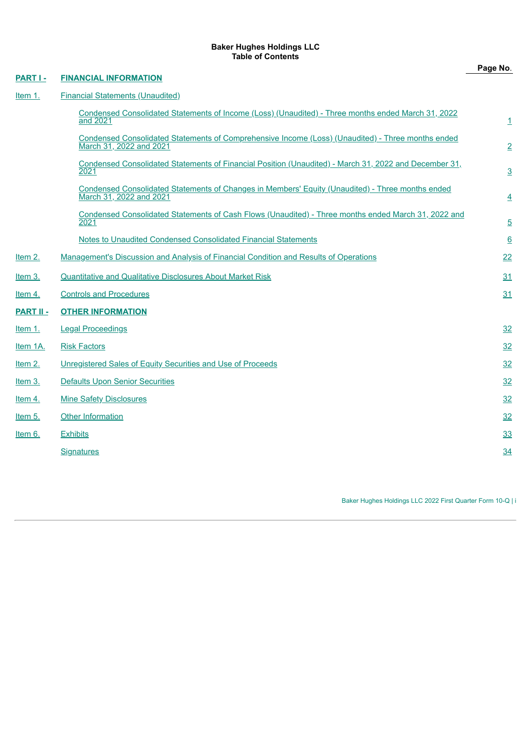## **Baker Hughes Holdings LLC Table of Contents**

# **[PART](#page-1-0) I - FINANCIAL [INFORMATION](#page-1-0)**

<span id="page-1-0"></span>

| Item 1.          | <b>Financial Statements (Unaudited)</b>                                                                                      |                  |
|------------------|------------------------------------------------------------------------------------------------------------------------------|------------------|
|                  | Condensed Consolidated Statements of Income (Loss) (Unaudited) - Three months ended March 31, 2022<br>and 2021               | $\overline{1}$   |
|                  | Condensed Consolidated Statements of Comprehensive Income (Loss) (Unaudited) - Three months ended<br>March 31, 2022 and 2021 | $\overline{2}$   |
|                  | Condensed Consolidated Statements of Financial Position (Unaudited) - March 31, 2022 and December 31,<br>2021                | $\overline{3}$   |
|                  | Condensed Consolidated Statements of Changes in Members' Equity (Unaudited) - Three months ended<br>March 31, 2022 and 2021  | $\overline{4}$   |
|                  | Condensed Consolidated Statements of Cash Flows (Unaudited) - Three months ended March 31, 2022 and<br>2021                  | $\overline{5}$   |
|                  | <b>Notes to Unaudited Condensed Consolidated Financial Statements</b>                                                        | $6 \overline{6}$ |
| Item 2.          | Management's Discussion and Analysis of Financial Condition and Results of Operations                                        | 22               |
| Item $3.$        | <b>Quantitative and Qualitative Disclosures About Market Risk</b>                                                            | 31               |
| Item $4.$        | <b>Controls and Procedures</b>                                                                                               | 31               |
| <b>PART II -</b> | <b>OTHER INFORMATION</b>                                                                                                     |                  |
| Item 1.          | <b>Legal Proceedings</b>                                                                                                     | 32               |
| Item 1A.         | <b>Risk Factors</b>                                                                                                          | 32               |
| Item 2.          | Unregistered Sales of Equity Securities and Use of Proceeds                                                                  | 32               |
| Item 3.          | <b>Defaults Upon Senior Securities</b>                                                                                       | 32               |
| Item 4.          | <b>Mine Safety Disclosures</b>                                                                                               | 32               |
| Item 5.          | Other Information                                                                                                            | 32               |
| Item 6.          | <b>Exhibits</b>                                                                                                              | 33               |
|                  | <b>Signatures</b>                                                                                                            | 34               |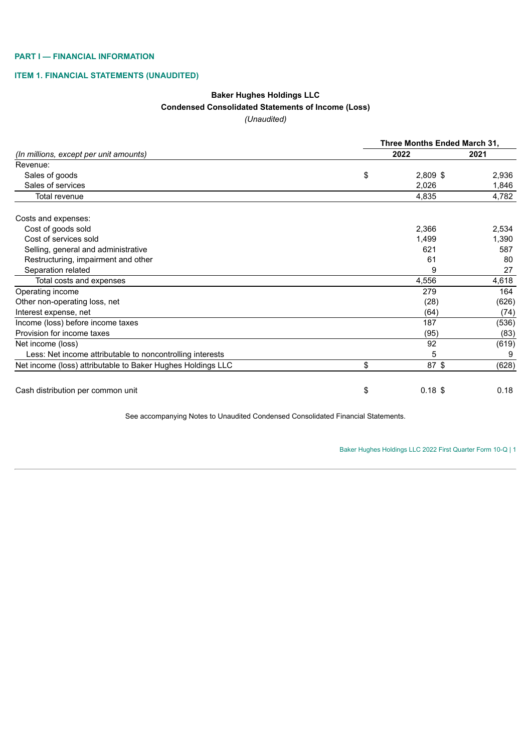# **PART I — FINANCIAL INFORMATION**

## <span id="page-2-1"></span><span id="page-2-0"></span>**ITEM 1. FINANCIAL STATEMENTS (UNAUDITED)**

# **Baker Hughes Holdings LLC Condensed Consolidated Statements of Income (Loss)** *(Unaudited)*

|                                                             | Three Months Ended March 31, |                 |       |  |  |
|-------------------------------------------------------------|------------------------------|-----------------|-------|--|--|
| (In millions, except per unit amounts)                      |                              | 2022            | 2021  |  |  |
| Revenue:                                                    |                              |                 |       |  |  |
| Sales of goods                                              | \$                           | $2,809$ \$      | 2,936 |  |  |
| Sales of services                                           |                              | 2,026           | 1,846 |  |  |
| Total revenue                                               |                              | 4,835           | 4,782 |  |  |
| Costs and expenses:                                         |                              |                 |       |  |  |
| Cost of goods sold                                          |                              | 2,366           | 2,534 |  |  |
| Cost of services sold                                       |                              | 1,499           | 1,390 |  |  |
| Selling, general and administrative                         |                              | 621             | 587   |  |  |
| Restructuring, impairment and other                         |                              | 61              | 80    |  |  |
| Separation related                                          |                              | 9               | 27    |  |  |
| Total costs and expenses                                    |                              | 4,556           | 4,618 |  |  |
| Operating income                                            |                              | 279             | 164   |  |  |
| Other non-operating loss, net                               |                              | (28)            | (626) |  |  |
| Interest expense, net                                       |                              | (64)            | (74)  |  |  |
| Income (loss) before income taxes                           |                              | 187             | (536) |  |  |
| Provision for income taxes                                  |                              | (95)            | (83)  |  |  |
| Net income (loss)                                           |                              | 92              | (619) |  |  |
| Less: Net income attributable to noncontrolling interests   |                              | 5               | 9     |  |  |
| Net income (loss) attributable to Baker Hughes Holdings LLC | \$                           | 87 <sup>°</sup> | (628) |  |  |
| Cash distribution per common unit                           | \$                           | $0.18$ \$       | 0.18  |  |  |

<span id="page-2-2"></span>See accompanying Notes to Unaudited Condensed Consolidated Financial Statements.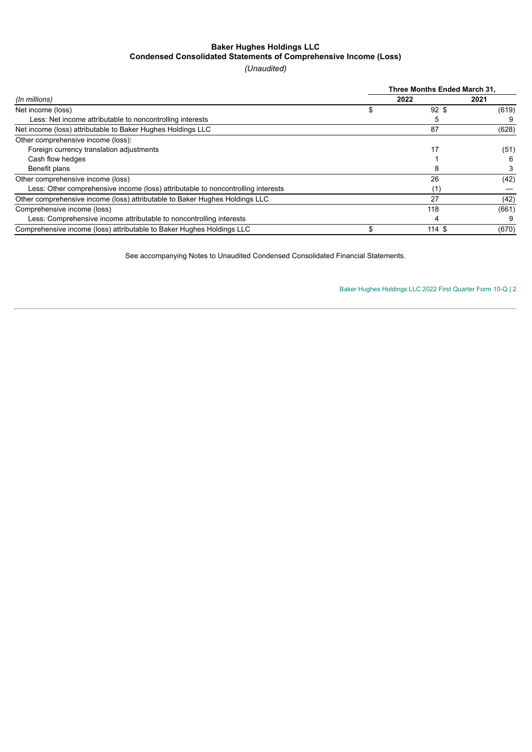# **Baker Hughes Holdings LLC Condensed Consolidated Statements of Comprehensive Income (Loss)**

*(Unaudited)*

|                                                                                  | <b>Three Months Ended March 31.</b> |                 |       |  |  |
|----------------------------------------------------------------------------------|-------------------------------------|-----------------|-------|--|--|
| (In millions)                                                                    |                                     | 2022            | 2021  |  |  |
| Net income (loss)                                                                |                                     | 92 <sub>5</sub> | (619) |  |  |
| Less: Net income attributable to noncontrolling interests                        |                                     | 5               |       |  |  |
| Net income (loss) attributable to Baker Hughes Holdings LLC                      |                                     | 87              | (628) |  |  |
| Other comprehensive income (loss):                                               |                                     |                 |       |  |  |
| Foreign currency translation adjustments                                         |                                     | 17              | (51)  |  |  |
| Cash flow hedges                                                                 |                                     |                 | 6     |  |  |
| Benefit plans                                                                    |                                     |                 |       |  |  |
| Other comprehensive income (loss)                                                |                                     | 26              | (42)  |  |  |
| Less: Other comprehensive income (loss) attributable to noncontrolling interests |                                     |                 |       |  |  |
| Other comprehensive income (loss) attributable to Baker Hughes Holdings LLC      |                                     | 27              | (42)  |  |  |
| Comprehensive income (loss)                                                      |                                     | 118             | (661) |  |  |
| Less: Comprehensive income attributable to noncontrolling interests              |                                     |                 |       |  |  |
| Comprehensive income (loss) attributable to Baker Hughes Holdings LLC            |                                     | 114S            | (670) |  |  |

<span id="page-3-0"></span>See accompanying Notes to Unaudited Condensed Consolidated Financial Statements.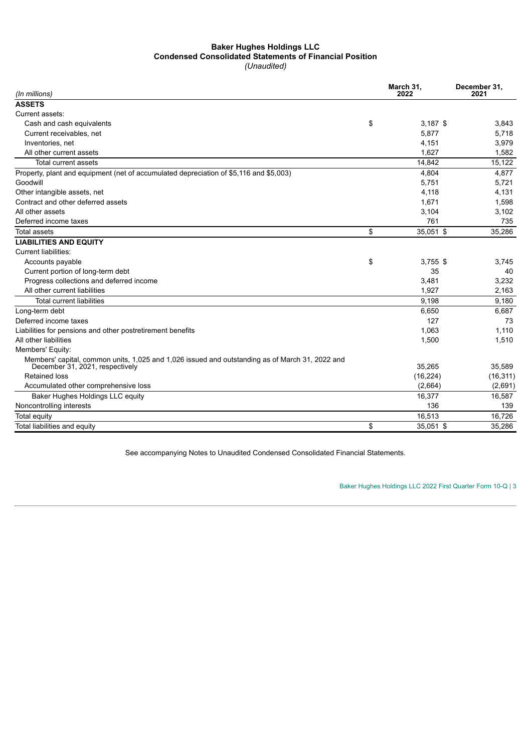# **Baker Hughes Holdings LLC Condensed Consolidated Statements of Financial Position**

*(Unaudited)*

| (In millions)                                                                                                                      | March 31,<br>2022 | December 31,<br>2021 |
|------------------------------------------------------------------------------------------------------------------------------------|-------------------|----------------------|
| <b>ASSETS</b>                                                                                                                      |                   |                      |
| Current assets:                                                                                                                    |                   |                      |
| Cash and cash equivalents                                                                                                          | \$<br>$3,187$ \$  | 3,843                |
| Current receivables, net                                                                                                           | 5,877             | 5,718                |
| Inventories, net                                                                                                                   | 4,151             | 3,979                |
| All other current assets                                                                                                           | 1.627             | 1,582                |
| Total current assets                                                                                                               | 14,842            | 15,122               |
| Property, plant and equipment (net of accumulated depreciation of \$5,116 and \$5,003)                                             | 4.804             | 4,877                |
| Goodwill                                                                                                                           | 5,751             | 5,721                |
| Other intangible assets, net                                                                                                       | 4,118             | 4,131                |
| Contract and other deferred assets                                                                                                 | 1,671             | 1,598                |
| All other assets                                                                                                                   | 3,104             | 3,102                |
| Deferred income taxes                                                                                                              | 761               | 735                  |
| Total assets                                                                                                                       | \$<br>35,051 \$   | 35,286               |
| <b>LIABILITIES AND EQUITY</b>                                                                                                      |                   |                      |
| <b>Current liabilities:</b>                                                                                                        |                   |                      |
| Accounts payable                                                                                                                   | \$<br>$3.755$ \$  | 3.745                |
| Current portion of long-term debt                                                                                                  | 35                | 40                   |
| Progress collections and deferred income                                                                                           | 3,481             | 3,232                |
| All other current liabilities                                                                                                      | 1,927             | 2,163                |
| <b>Total current liabilities</b>                                                                                                   | 9,198             | 9,180                |
| Long-term debt                                                                                                                     | 6,650             | 6,687                |
| Deferred income taxes                                                                                                              | 127               | 73                   |
| Liabilities for pensions and other postretirement benefits                                                                         | 1,063             | 1,110                |
| All other liabilities                                                                                                              | 1,500             | 1,510                |
| Members' Equity:                                                                                                                   |                   |                      |
| Members' capital, common units, 1,025 and 1,026 issued and outstanding as of March 31, 2022 and<br>December 31, 2021, respectively | 35,265            | 35,589               |
| <b>Retained loss</b>                                                                                                               | (16, 224)         | (16, 311)            |
| Accumulated other comprehensive loss                                                                                               | (2,664)           | (2,691)              |
| Baker Hughes Holdings LLC equity                                                                                                   | 16,377            | 16,587               |
| Noncontrolling interests                                                                                                           | 136               | 139                  |
| Total equity                                                                                                                       | 16,513            | 16,726               |
| Total liabilities and equity                                                                                                       | \$<br>35,051 \$   | 35,286               |

<span id="page-4-0"></span>See accompanying Notes to Unaudited Condensed Consolidated Financial Statements.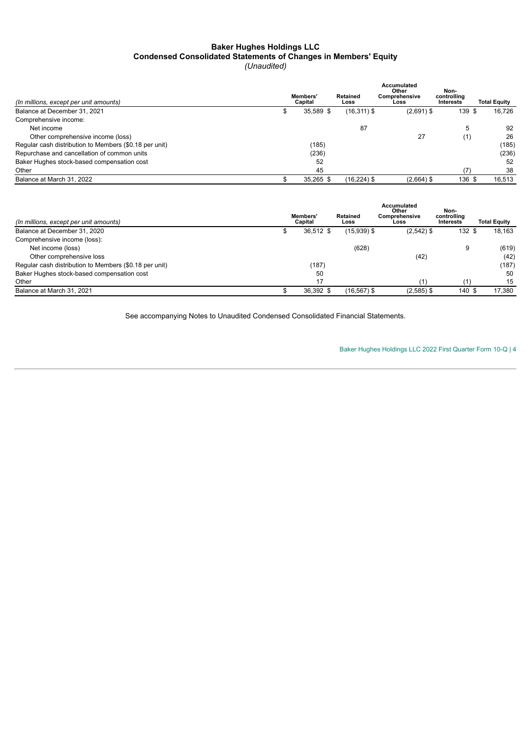# **Baker Hughes Holdings LLC Condensed Consolidated Statements of Changes in Members' Equity**

*(Unaudited)*

| (In millions, except per unit amounts)                 |  | Members'<br>Capital | Retained<br>Loss | Accumulated<br>Other<br>Comprehensive<br>Loss | Non-<br>controlling<br>Interests | <b>Total Equity</b> |
|--------------------------------------------------------|--|---------------------|------------------|-----------------------------------------------|----------------------------------|---------------------|
| Balance at December 31, 2021                           |  | 35,589 \$           | $(16, 311)$ \$   | $(2,691)$ \$                                  | 139 \$                           | 16.726              |
| Comprehensive income:                                  |  |                     |                  |                                               |                                  |                     |
| Net income                                             |  |                     | 87               |                                               | 5                                | 92                  |
| Other comprehensive income (loss)                      |  |                     |                  | 27                                            | (1)                              | 26                  |
| Regular cash distribution to Members (\$0.18 per unit) |  | (185)               |                  |                                               |                                  | (185)               |
| Repurchase and cancellation of common units            |  | (236)               |                  |                                               |                                  | (236)               |
| Baker Hughes stock-based compensation cost             |  | 52                  |                  |                                               |                                  | 52                  |
| Other                                                  |  | 45                  |                  |                                               | (7)                              | 38                  |
| Balance at March 31, 2022                              |  | 35.265 \$           | (16,224) \$      | $(2,664)$ \$                                  | 136 \$                           | 16.513              |

| (In millions, except per unit amounts)                 |  | <b>Members</b><br>Capital | Retained<br>Loss | Accumulated<br>Other<br><b>Comprehensive</b><br>Loss | Non-<br>controlling<br>Interests | <b>Total Equity</b> |
|--------------------------------------------------------|--|---------------------------|------------------|------------------------------------------------------|----------------------------------|---------------------|
| Balance at December 31, 2020                           |  | 36,512 \$                 | $(15,939)$ \$    | $(2,542)$ \$                                         | 132S                             | 18,163              |
| Comprehensive income (loss):                           |  |                           |                  |                                                      |                                  |                     |
| Net income (loss)                                      |  |                           | (628)            |                                                      | 9                                | (619)               |
| Other comprehensive loss                               |  |                           |                  | (42)                                                 |                                  | (42)                |
| Regular cash distribution to Members (\$0.18 per unit) |  | (187)                     |                  |                                                      |                                  | (187)               |
| Baker Hughes stock-based compensation cost             |  | 50                        |                  |                                                      |                                  | 50                  |
| Other                                                  |  | 17                        |                  | (1)                                                  | (1)                              | 15                  |
| Balance at March 31, 2021                              |  | 36.392 \$                 | (16,567) \$      | $(2,585)$ \$                                         | 140 \$                           | 17.380              |

<span id="page-5-0"></span>See accompanying Notes to Unaudited Condensed Consolidated Financial Statements.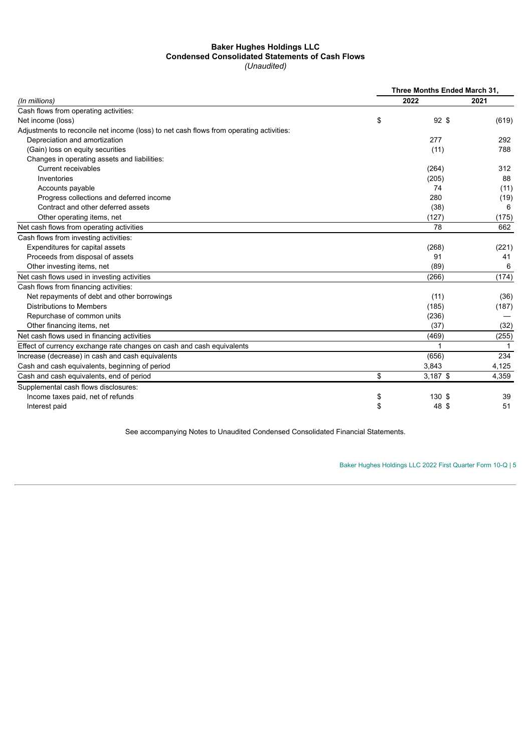## **Baker Hughes Holdings LLC Condensed Consolidated Statements of Cash Flows** *(Unaudited)*

|                                                                                         | Three Months Ended March 31, |            |       |  |  |
|-----------------------------------------------------------------------------------------|------------------------------|------------|-------|--|--|
| (In millions)                                                                           | 2022                         |            | 2021  |  |  |
| Cash flows from operating activities:                                                   |                              |            |       |  |  |
| Net income (loss)                                                                       | \$                           | $92$ \$    | (619) |  |  |
| Adjustments to reconcile net income (loss) to net cash flows from operating activities: |                              |            |       |  |  |
| Depreciation and amortization                                                           |                              | 277        | 292   |  |  |
| (Gain) loss on equity securities                                                        |                              | (11)       | 788   |  |  |
| Changes in operating assets and liabilities:                                            |                              |            |       |  |  |
| Current receivables                                                                     |                              | (264)      | 312   |  |  |
| Inventories                                                                             |                              | (205)      | 88    |  |  |
| Accounts payable                                                                        |                              | 74         | (11)  |  |  |
| Progress collections and deferred income                                                |                              | 280        | (19)  |  |  |
| Contract and other deferred assets                                                      |                              | (38)       | 6     |  |  |
| Other operating items, net                                                              |                              | (127)      | (175) |  |  |
| Net cash flows from operating activities                                                |                              | 78         | 662   |  |  |
| Cash flows from investing activities:                                                   |                              |            |       |  |  |
| Expenditures for capital assets                                                         |                              | (268)      | (221) |  |  |
| Proceeds from disposal of assets                                                        |                              | 91         | 41    |  |  |
| Other investing items, net                                                              |                              | (89)       | 6     |  |  |
| Net cash flows used in investing activities                                             |                              | (266)      | (174) |  |  |
| Cash flows from financing activities:                                                   |                              |            |       |  |  |
| Net repayments of debt and other borrowings                                             |                              | (11)       | (36)  |  |  |
| <b>Distributions to Members</b>                                                         |                              | (185)      | (187) |  |  |
| Repurchase of common units                                                              |                              | (236)      |       |  |  |
| Other financing items, net                                                              |                              | (37)       | (32)  |  |  |
| Net cash flows used in financing activities                                             |                              | (469)      | (255) |  |  |
| Effect of currency exchange rate changes on cash and cash equivalents                   |                              |            | 1     |  |  |
| Increase (decrease) in cash and cash equivalents                                        |                              | (656)      | 234   |  |  |
| Cash and cash equivalents, beginning of period                                          |                              | 3,843      | 4,125 |  |  |
| Cash and cash equivalents, end of period                                                | \$                           | $3,187$ \$ | 4,359 |  |  |
| Supplemental cash flows disclosures:                                                    |                              |            |       |  |  |
| Income taxes paid, net of refunds                                                       | \$                           | 130 \$     | 39    |  |  |
| Interest paid                                                                           | \$                           | 48 \$      | 51    |  |  |

<span id="page-6-0"></span>See accompanying Notes to Unaudited Condensed Consolidated Financial Statements.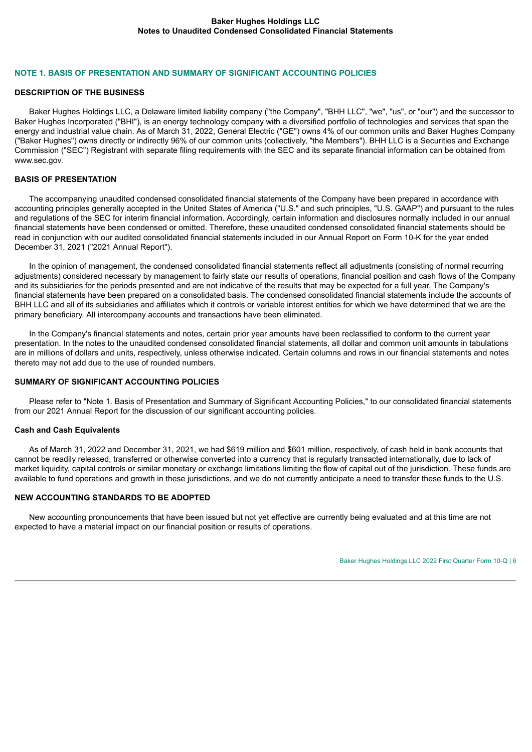# **NOTE 1. BASIS OF PRESENTATION AND SUMMARY OF SIGNIFICANT ACCOUNTING POLICIES**

# **DESCRIPTION OF THE BUSINESS**

Baker Hughes Holdings LLC, a Delaware limited liability company ("the Company", "BHH LLC", "we", "us", or "our") and the successor to Baker Hughes Incorporated ("BHI"), is an energy technology company with a diversified portfolio of technologies and services that span the energy and industrial value chain. As of March 31, 2022, General Electric ("GE") owns 4% of our common units and Baker Hughes Company ("Baker Hughes") owns directly or indirectly 96% of our common units (collectively, "the Members"). BHH LLC is a Securities and Exchange Commission ("SEC") Registrant with separate filing requirements with the SEC and its separate financial information can be obtained from www.sec.gov.

# **BASIS OF PRESENTATION**

The accompanying unaudited condensed consolidated financial statements of the Company have been prepared in accordance with accounting principles generally accepted in the United States of America ("U.S." and such principles, "U.S. GAAP") and pursuant to the rules and regulations of the SEC for interim financial information. Accordingly, certain information and disclosures normally included in our annual financial statements have been condensed or omitted. Therefore, these unaudited condensed consolidated financial statements should be read in conjunction with our audited consolidated financial statements included in our Annual Report on Form 10-K for the year ended December 31, 2021 ("2021 Annual Report").

In the opinion of management, the condensed consolidated financial statements reflect all adjustments (consisting of normal recurring adjustments) considered necessary by management to fairly state our results of operations, financial position and cash flows of the Company and its subsidiaries for the periods presented and are not indicative of the results that may be expected for a full year. The Company's financial statements have been prepared on a consolidated basis. The condensed consolidated financial statements include the accounts of BHH LLC and all of its subsidiaries and affiliates which it controls or variable interest entities for which we have determined that we are the primary beneficiary. All intercompany accounts and transactions have been eliminated.

In the Company's financial statements and notes, certain prior year amounts have been reclassified to conform to the current year presentation. In the notes to the unaudited condensed consolidated financial statements, all dollar and common unit amounts in tabulations are in millions of dollars and units, respectively, unless otherwise indicated. Certain columns and rows in our financial statements and notes thereto may not add due to the use of rounded numbers.

# **SUMMARY OF SIGNIFICANT ACCOUNTING POLICIES**

Please refer to "Note 1. Basis of Presentation and Summary of Significant Accounting Policies," to our consolidated financial statements from our 2021 Annual Report for the discussion of our significant accounting policies.

# **Cash and Cash Equivalents**

As of March 31, 2022 and December 31, 2021, we had \$619 million and \$601 million, respectively, of cash held in bank accounts that cannot be readily released, transferred or otherwise converted into a currency that is regularly transacted internationally, due to lack of market liquidity, capital controls or similar monetary or exchange limitations limiting the flow of capital out of the jurisdiction. These funds are available to fund operations and growth in these jurisdictions, and we do not currently anticipate a need to transfer these funds to the U.S.

# **NEW ACCOUNTING STANDARDS TO BE ADOPTED**

New accounting pronouncements that have been issued but not yet effective are currently being evaluated and at this time are not expected to have a material impact on our financial position or results of operations.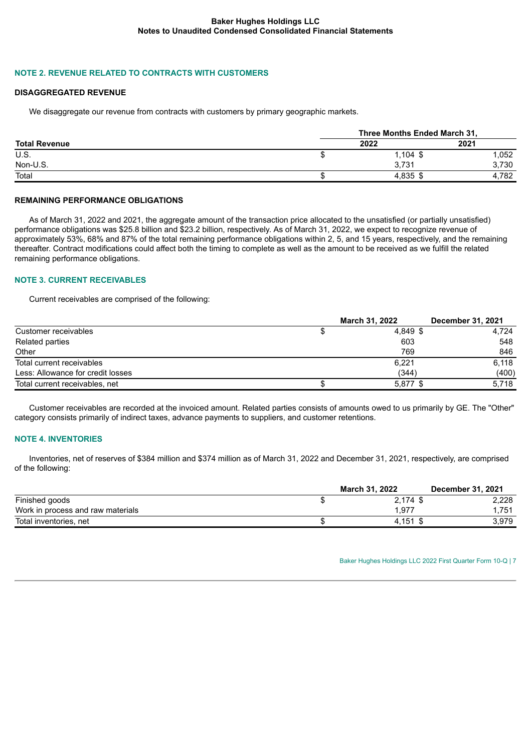## **NOTE 2. REVENUE RELATED TO CONTRACTS WITH CUSTOMERS**

## **DISAGGREGATED REVENUE**

We disaggregate our revenue from contracts with customers by primary geographic markets.

| <b>Total Revenue</b> | Three Months Ended March 31, |          |       |  |  |  |
|----------------------|------------------------------|----------|-------|--|--|--|
|                      |                              | 2022     | 2021  |  |  |  |
| U.S.                 |                              | 1,104 \$ | 1,052 |  |  |  |
| Non-U.S.             |                              | 3.731    | 3,730 |  |  |  |
| Total                |                              | 4,835 \$ | 4,782 |  |  |  |

#### **REMAINING PERFORMANCE OBLIGATIONS**

As of March 31, 2022 and 2021, the aggregate amount of the transaction price allocated to the unsatisfied (or partially unsatisfied) performance obligations was \$25.8 billion and \$23.2 billion, respectively. As of March 31, 2022, we expect to recognize revenue of approximately 53%, 68% and 87% of the total remaining performance obligations within 2, 5, and 15 years, respectively, and the remaining thereafter. Contract modifications could affect both the timing to complete as well as the amount to be received as we fulfill the related remaining performance obligations.

## **NOTE 3. CURRENT RECEIVABLES**

Current receivables are comprised of the following:

|                                   | March 31, 2022 | December 31, 2021 |
|-----------------------------------|----------------|-------------------|
| Customer receivables              | 4,849 \$       | 4,724             |
| Related parties                   | 603            | 548               |
| Other                             | 769            | 846               |
| Total current receivables         | 6.221          | 6,118             |
| Less: Allowance for credit losses | (344)          | (400)             |
| Total current receivables, net    | 5.877 \$       | 5.718             |

Customer receivables are recorded at the invoiced amount. Related parties consists of amounts owed to us primarily by GE. The "Other" category consists primarily of indirect taxes, advance payments to suppliers, and customer retentions.

## **NOTE 4. INVENTORIES**

Inventories, net of reserves of \$384 million and \$374 million as of March 31, 2022 and December 31, 2021, respectively, are comprised of the following:

|                                   | <b>March 31, 2022</b> | December 31, 2021 |
|-----------------------------------|-----------------------|-------------------|
| Finished goods                    | $2,174$ \$            | 2,228             |
| Work in process and raw materials | 977.⊧                 | 1.751             |
| Total inventories, net            | 4.151                 | 3.979             |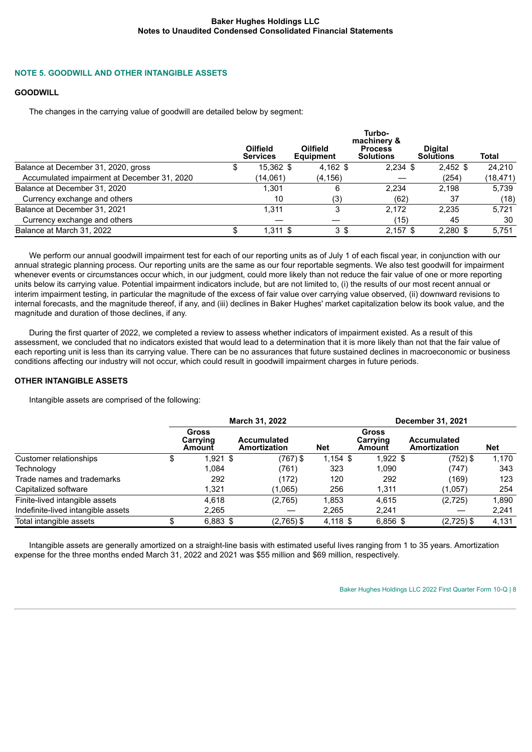## **NOTE 5. GOODWILL AND OTHER INTANGIBLE ASSETS**

## **GOODWILL**

The changes in the carrying value of goodwill are detailed below by segment:

|                                             | Turbo-<br>machinery &              |                              |                                    |                                    |           |  |  |
|---------------------------------------------|------------------------------------|------------------------------|------------------------------------|------------------------------------|-----------|--|--|
|                                             | <b>Oilfield</b><br><b>Services</b> | Oilfield<br><b>Equipment</b> | <b>Process</b><br><b>Solutions</b> | <b>Digital</b><br><b>Solutions</b> | Total     |  |  |
| Balance at December 31, 2020, gross         | 15.362 \$                          | 4,162 \$                     | $2,234$ \$                         | $2,452$ \$                         | 24,210    |  |  |
| Accumulated impairment at December 31, 2020 | (14,061)                           | (4, 156)                     |                                    | (254)                              | (18, 471) |  |  |
| Balance at December 31, 2020                | 1.301                              | 6                            | 2.234                              | 2,198                              | 5,739     |  |  |
| Currency exchange and others                | 10                                 | (3)                          | (62)                               | 37                                 | (18)      |  |  |
| Balance at December 31, 2021                | 1.311                              | 3                            | 2.172                              | 2.235                              | 5.721     |  |  |
| Currency exchange and others                |                                    |                              | (15)                               | 45                                 | 30        |  |  |
| Balance at March 31, 2022                   | 1.311 \$                           | 3\$                          | $2.157$ \$                         | $2,280$ \$                         | 5.751     |  |  |

We perform our annual goodwill impairment test for each of our reporting units as of July 1 of each fiscal year, in conjunction with our annual strategic planning process. Our reporting units are the same as our four reportable segments. We also test goodwill for impairment whenever events or circumstances occur which, in our judgment, could more likely than not reduce the fair value of one or more reporting units below its carrying value. Potential impairment indicators include, but are not limited to, (i) the results of our most recent annual or interim impairment testing, in particular the magnitude of the excess of fair value over carrying value observed, (ii) downward revisions to internal forecasts, and the magnitude thereof, if any, and (iii) declines in Baker Hughes' market capitalization below its book value, and the magnitude and duration of those declines, if any.

During the first quarter of 2022, we completed a review to assess whether indicators of impairment existed. As a result of this assessment, we concluded that no indicators existed that would lead to a determination that it is more likely than not that the fair value of each reporting unit is less than its carrying value. There can be no assurances that future sustained declines in macroeconomic or business conditions affecting our industry will not occur, which could result in goodwill impairment charges in future periods.

## **OTHER INTANGIBLE ASSETS**

Intangible assets are comprised of the following:

|                                    |                                    | <b>March 31, 2022</b>       |            |                                    | December 31, 2021           |            |
|------------------------------------|------------------------------------|-----------------------------|------------|------------------------------------|-----------------------------|------------|
|                                    | <b>Gross</b><br>Carrying<br>Amount | Accumulated<br>Amortization | <b>Net</b> | <b>Gross</b><br>Carrying<br>Amount | Accumulated<br>Amortization | <b>Net</b> |
| Customer relationships             | $1,921$ \$                         | $(767)$ \$                  | 1,154 \$   | $1,922$ \$                         | $(752)$ \$                  | 1.170      |
| Technology                         | 1.084                              | (761)                       | 323        | 1.090                              | (747)                       | 343        |
| Trade names and trademarks         | 292                                | (172)                       | 120        | 292                                | (169)                       | 123        |
| Capitalized software               | 1.321                              | (1,065)                     | 256        | 1,311                              | (1,057)                     | 254        |
| Finite-lived intangible assets     | 4.618                              | (2,765)                     | 1.853      | 4,615                              | (2,725)                     | 1,890      |
| Indefinite-lived intangible assets | 2,265                              |                             | 2.265      | 2.241                              |                             | 2,241      |
| Total intangible assets            | 6,883 \$                           | $(2,765)$ \$                | 4,118 \$   | 6,856 \$                           | $(2,725)$ \$                | 4,131      |

Intangible assets are generally amortized on a straight-line basis with estimated useful lives ranging from 1 to 35 years. Amortization expense for the three months ended March 31, 2022 and 2021 was \$55 million and \$69 million, respectively.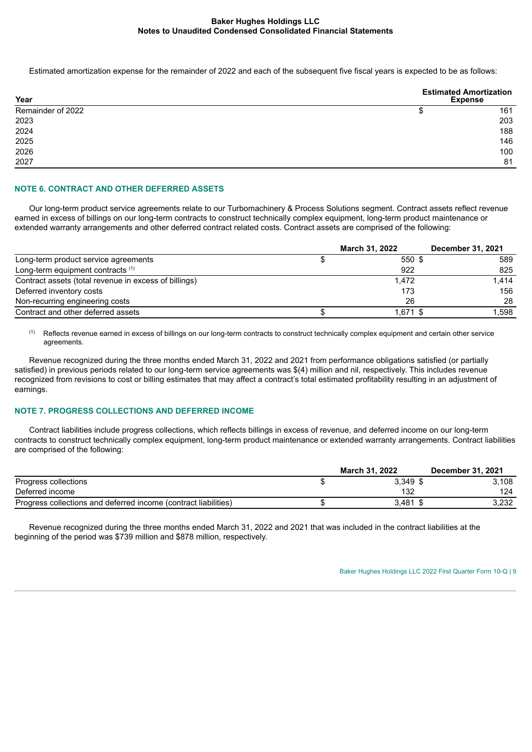Estimated amortization expense for the remainder of 2022 and each of the subsequent five fiscal years is expected to be as follows:

| Year              | <b>Estimated Amortization</b><br><b>Expense</b> |
|-------------------|-------------------------------------------------|
| Remainder of 2022 | 161                                             |
| 2023              | 203                                             |
| 2024              | 188                                             |
| 2025              | 146                                             |
| 2026              | 100                                             |
| 2027              | 81                                              |

## **NOTE 6. CONTRACT AND OTHER DEFERRED ASSETS**

Our long-term product service agreements relate to our Turbomachinery & Process Solutions segment. Contract assets reflect revenue earned in excess of billings on our long-term contracts to construct technically complex equipment, long-term product maintenance or extended warranty arrangements and other deferred contract related costs. Contract assets are comprised of the following:

|                                                       | <b>March 31, 2022</b> | December 31, 2021 |
|-------------------------------------------------------|-----------------------|-------------------|
| Long-term product service agreements                  | 550 \$                | 589               |
| Long-term equipment contracts <sup>(1)</sup>          | 922                   | 825               |
| Contract assets (total revenue in excess of billings) | 1.472                 | 1.414             |
| Deferred inventory costs                              | 173                   | 156               |
| Non-recurring engineering costs                       | 26                    | 28                |
| Contract and other deferred assets                    | 1.671 \$              | 1.598             |

Reflects revenue earned in excess of billings on our long-term contracts to construct technically complex equipment and certain other service agreements. (1)

Revenue recognized during the three months ended March 31, 2022 and 2021 from performance obligations satisfied (or partially satisfied) in previous periods related to our long-term service agreements was \$(4) million and nil, respectively. This includes revenue recognized from revisions to cost or billing estimates that may affect a contract's total estimated profitability resulting in an adjustment of earnings.

#### **NOTE 7. PROGRESS COLLECTIONS AND DEFERRED INCOME**

Contract liabilities include progress collections, which reflects billings in excess of revenue, and deferred income on our long-term contracts to construct technically complex equipment, long-term product maintenance or extended warranty arrangements. Contract liabilities are comprised of the following:

|                                                                 | March 31, 2022 | <b>December 31, 2021</b> |
|-----------------------------------------------------------------|----------------|--------------------------|
| Progress collections                                            | $3.349$ \$     | 3,108                    |
| Deferred income                                                 | 132            | 124                      |
| Progress collections and deferred income (contract liabilities) | 3.481          | 3.232                    |

Revenue recognized during the three months ended March 31, 2022 and 2021 that was included in the contract liabilities at the beginning of the period was \$739 million and \$878 million, respectively.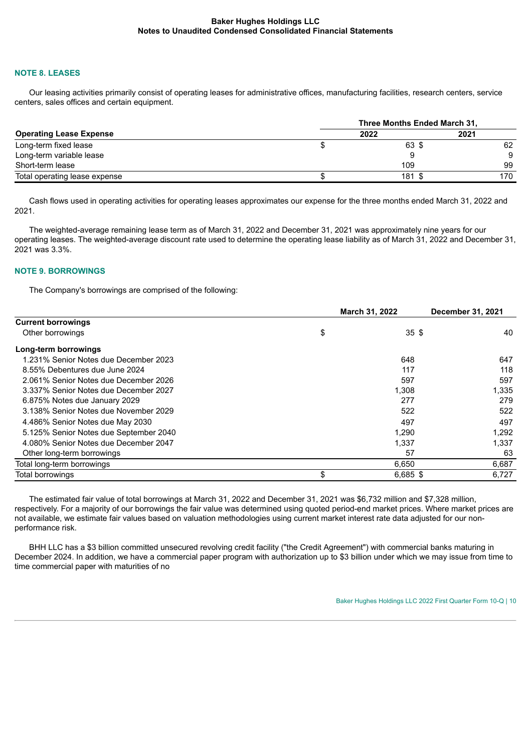## **NOTE 8. LEASES**

Our leasing activities primarily consist of operating leases for administrative offices, manufacturing facilities, research centers, service centers, sales offices and certain equipment.

|                                | Three Months Ended March 31, |        |      |  |  |  |  |  |  |  |
|--------------------------------|------------------------------|--------|------|--|--|--|--|--|--|--|
| <b>Operating Lease Expense</b> |                              | 2022   | 2021 |  |  |  |  |  |  |  |
| Long-term fixed lease          |                              | 63 \$  | 62   |  |  |  |  |  |  |  |
| Long-term variable lease       |                              |        | 9    |  |  |  |  |  |  |  |
| Short-term lease               |                              | 109    | 99   |  |  |  |  |  |  |  |
| Total operating lease expense  |                              | 181 \$ | 170  |  |  |  |  |  |  |  |

Cash flows used in operating activities for operating leases approximates our expense for the three months ended March 31, 2022 and 2021.

The weighted-average remaining lease term as of March 31, 2022 and December 31, 2021 was approximately nine years for our operating leases. The weighted-average discount rate used to determine the operating lease liability as of March 31, 2022 and December 31, 2021 was 3.3%.

## **NOTE 9. BORROWINGS**

The Company's borrowings are comprised of the following:

|                                        | March 31, 2022   | December 31, 2021 |  |
|----------------------------------------|------------------|-------------------|--|
| <b>Current borrowings</b>              |                  |                   |  |
| Other borrowings                       | \$<br>35S        | 40                |  |
| Long-term borrowings                   |                  |                   |  |
| 1.231% Senior Notes due December 2023  | 648              | 647               |  |
| 8.55% Debentures due June 2024         | 117              | 118               |  |
| 2.061% Senior Notes due December 2026  | 597              | 597               |  |
| 3.337% Senior Notes due December 2027  | 1,308            | 1,335             |  |
| 6.875% Notes due January 2029          | 277              | 279               |  |
| 3.138% Senior Notes due November 2029  | 522              | 522               |  |
| 4.486% Senior Notes due May 2030       | 497              | 497               |  |
| 5.125% Senior Notes due September 2040 | 1,290            | 1.292             |  |
| 4.080% Senior Notes due December 2047  | 1.337            | 1.337             |  |
| Other long-term borrowings             | 57               | 63                |  |
| Total long-term borrowings             | 6,650            | 6,687             |  |
| Total borrowings                       | \$<br>$6,685$ \$ | 6.727             |  |

The estimated fair value of total borrowings at March 31, 2022 and December 31, 2021 was \$6,732 million and \$7,328 million, respectively. For a majority of our borrowings the fair value was determined using quoted period-end market prices. Where market prices are not available, we estimate fair values based on valuation methodologies using current market interest rate data adjusted for our nonperformance risk.

BHH LLC has a \$3 billion committed unsecured revolving credit facility ("the Credit Agreement") with commercial banks maturing in December 2024. In addition, we have a commercial paper program with authorization up to \$3 billion under which we may issue from time to time commercial paper with maturities of no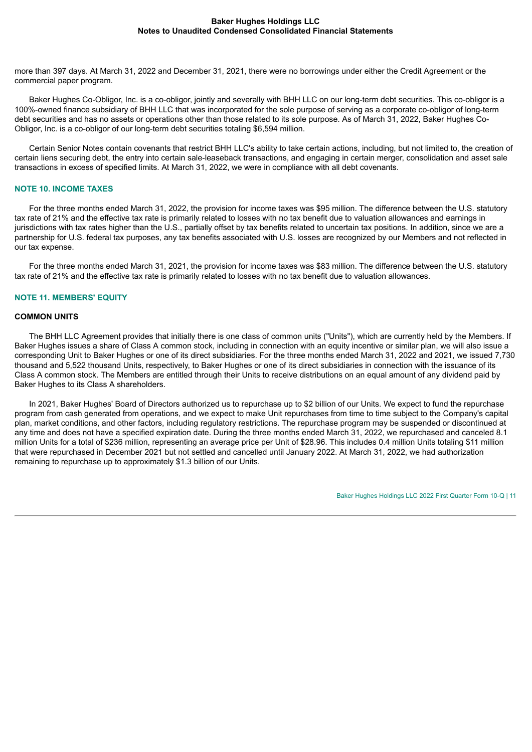more than 397 days. At March 31, 2022 and December 31, 2021, there were no borrowings under either the Credit Agreement or the commercial paper program.

Baker Hughes Co-Obligor, Inc. is a co-obligor, jointly and severally with BHH LLC on our long-term debt securities. This co-obligor is a 100%-owned finance subsidiary of BHH LLC that was incorporated for the sole purpose of serving as a corporate co-obligor of long-term debt securities and has no assets or operations other than those related to its sole purpose. As of March 31, 2022, Baker Hughes Co-Obligor, Inc. is a co-obligor of our long-term debt securities totaling \$6,594 million.

Certain Senior Notes contain covenants that restrict BHH LLC's ability to take certain actions, including, but not limited to, the creation of certain liens securing debt, the entry into certain sale-leaseback transactions, and engaging in certain merger, consolidation and asset sale transactions in excess of specified limits. At March 31, 2022, we were in compliance with all debt covenants.

## **NOTE 10. INCOME TAXES**

For the three months ended March 31, 2022, the provision for income taxes was \$95 million. The difference between the U.S. statutory tax rate of 21% and the effective tax rate is primarily related to losses with no tax benefit due to valuation allowances and earnings in jurisdictions with tax rates higher than the U.S., partially offset by tax benefits related to uncertain tax positions. In addition, since we are a partnership for U.S. federal tax purposes, any tax benefits associated with U.S. losses are recognized by our Members and not reflected in our tax expense.

For the three months ended March 31, 2021, the provision for income taxes was \$83 million. The difference between the U.S. statutory tax rate of 21% and the effective tax rate is primarily related to losses with no tax benefit due to valuation allowances.

## **NOTE 11. MEMBERS' EQUITY**

## **COMMON UNITS**

The BHH LLC Agreement provides that initially there is one class of common units ("Units"), which are currently held by the Members. If Baker Hughes issues a share of Class A common stock, including in connection with an equity incentive or similar plan, we will also issue a corresponding Unit to Baker Hughes or one of its direct subsidiaries. For the three months ended March 31, 2022 and 2021, we issued 7,730 thousand and 5,522 thousand Units, respectively, to Baker Hughes or one of its direct subsidiaries in connection with the issuance of its Class A common stock. The Members are entitled through their Units to receive distributions on an equal amount of any dividend paid by Baker Hughes to its Class A shareholders.

In 2021, Baker Hughes' Board of Directors authorized us to repurchase up to \$2 billion of our Units. We expect to fund the repurchase program from cash generated from operations, and we expect to make Unit repurchases from time to time subject to the Company's capital plan, market conditions, and other factors, including regulatory restrictions. The repurchase program may be suspended or discontinued at any time and does not have a specified expiration date. During the three months ended March 31, 2022, we repurchased and canceled 8.1 million Units for a total of \$236 million, representing an average price per Unit of \$28.96. This includes 0.4 million Units totaling \$11 million that were repurchased in December 2021 but not settled and cancelled until January 2022. At March 31, 2022, we had authorization remaining to repurchase up to approximately \$1.3 billion of our Units.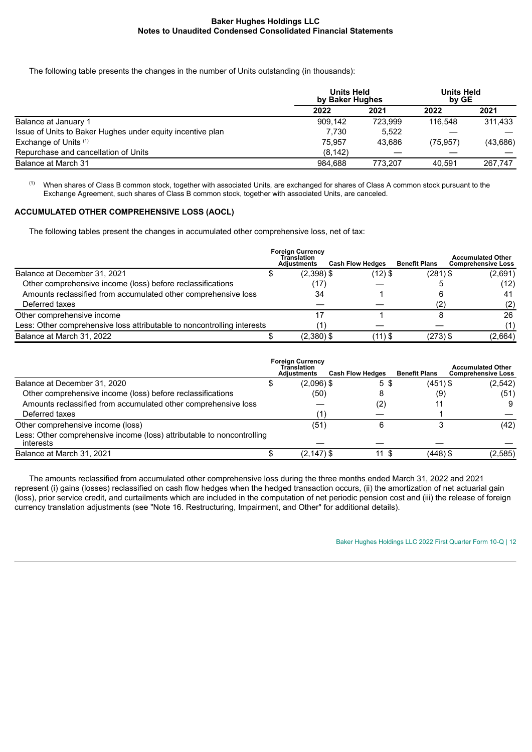The following table presents the changes in the number of Units outstanding (in thousands):

|                                                            | <b>Units Held</b><br>by Baker Hughes | <b>Units Held</b><br>by GE |          |          |
|------------------------------------------------------------|--------------------------------------|----------------------------|----------|----------|
|                                                            | 2022                                 | 2021                       | 2022     | 2021     |
| Balance at January 1                                       | 909.142                              | 723.999                    | 116.548  | 311.433  |
| Issue of Units to Baker Hughes under equity incentive plan | 7.730                                | 5,522                      |          |          |
| Exchange of Units (1)                                      | 75.957                               | 43.686                     | (75.957) | (43,686) |
| Repurchase and cancellation of Units                       | (8.142)                              |                            |          |          |
| Balance at March 31                                        | 984.688                              | 773.207                    | 40.591   | 267.747  |

 $(1)$  When shares of Class B common stock, together with associated Units, are exchanged for shares of Class A common stock pursuant to the Exchange Agreement, such shares of Class B common stock, together with associated Units, are canceled.

## **ACCUMULATED OTHER COMPREHENSIVE LOSS (AOCL)**

The following tables present the changes in accumulated other comprehensive loss, net of tax:

|                                                                         | <b>Foreign Currency</b><br>Translation<br>Adjustments | <b>Cash Flow Hedges</b> | <b>Benefit Plans</b> | <b>Accumulated Other</b><br><b>Comprehensive Loss</b> |
|-------------------------------------------------------------------------|-------------------------------------------------------|-------------------------|----------------------|-------------------------------------------------------|
| Balance at December 31, 2021                                            | $(2,398)$ \$                                          | (12) \$                 | (281) \$             | (2,691)                                               |
| Other comprehensive income (loss) before reclassifications              | (17)                                                  |                         |                      | (12)                                                  |
| Amounts reclassified from accumulated other comprehensive loss          | 34                                                    |                         |                      | 41                                                    |
| Deferred taxes                                                          |                                                       |                         | (2)                  | (2)                                                   |
| Other comprehensive income                                              |                                                       |                         |                      | 26                                                    |
| Less: Other comprehensive loss attributable to noncontrolling interests |                                                       |                         |                      | (1)                                                   |
| Balance at March 31, 2022                                               | $(2,380)$ \$                                          | (11) \$                 | (273) \$             | (2.664)                                               |

|                                                                                     | <b>Foreign Currency</b><br><b>Translation</b><br><b>Adiustments</b> | <b>Cash Flow Hedges</b> | <b>Benefit Plans</b> | <b>Accumulated Other</b><br><b>Comprehensive Loss</b> |
|-------------------------------------------------------------------------------------|---------------------------------------------------------------------|-------------------------|----------------------|-------------------------------------------------------|
| Balance at December 31, 2020                                                        | $(2,096)$ \$                                                        | 5\$                     | $(451)$ \$           | (2, 542)                                              |
| Other comprehensive income (loss) before reclassifications                          | (50)                                                                | 8                       | (9)                  | (51)                                                  |
| Amounts reclassified from accumulated other comprehensive loss                      |                                                                     | (2)                     |                      | 9                                                     |
| Deferred taxes                                                                      |                                                                     |                         |                      |                                                       |
| Other comprehensive income (loss)                                                   | (51)                                                                | 6                       |                      | (42)                                                  |
| Less: Other comprehensive income (loss) attributable to noncontrolling<br>interests |                                                                     |                         |                      |                                                       |
| Balance at March 31, 2021                                                           | $(2, 147)$ \$                                                       | 11S                     | (448) \$             | (2,585)                                               |

The amounts reclassified from accumulated other comprehensive loss during the three months ended March 31, 2022 and 2021 represent (i) gains (losses) reclassified on cash flow hedges when the hedged transaction occurs, (ii) the amortization of net actuarial gain (loss), prior service credit, and curtailments which are included in the computation of net periodic pension cost and (iii) the release of foreign currency translation adjustments (see "Note 16. Restructuring, Impairment, and Other" for additional details).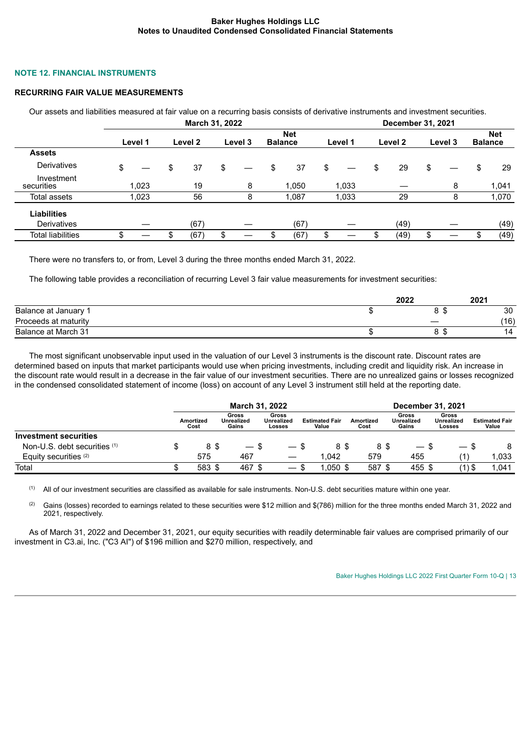## **NOTE 12. FINANCIAL INSTRUMENTS**

## **RECURRING FAIR VALUE MEASUREMENTS**

|                                          |         | <b>March 31, 2022</b> |         |    |         |                |            |    |         | December 31, 2021 |         |    |         |   |                              |  |
|------------------------------------------|---------|-----------------------|---------|----|---------|----------------|------------|----|---------|-------------------|---------|----|---------|---|------------------------------|--|
|                                          | Level 1 |                       | Level 2 |    | Level 3 | <b>Balance</b> | <b>Net</b> |    | Level 1 |                   | Level 2 |    | Level 3 |   | <b>Net</b><br><b>Balance</b> |  |
| <b>Assets</b>                            |         |                       |         |    |         |                |            |    |         |                   |         |    |         |   |                              |  |
| <b>Derivatives</b>                       | \$      | S                     | 37      | \$ |         | \$             | 37         | \$ |         | \$                | 29      | \$ |         | S | 29                           |  |
| Investment<br>securities                 | 1,023   |                       | 19      |    | 8       |                | 1,050      |    | 1,033   |                   |         |    | 8       |   | 1,041                        |  |
| Total assets                             | 1.023   |                       | 56      |    | 8       |                | 1.087      |    | 1,033   |                   | 29      |    | 8       |   | 1,070                        |  |
| <b>Liabilities</b><br><b>Derivatives</b> |         |                       | (67)    |    |         |                | (67)       |    |         |                   | (49)    |    |         |   | (49)                         |  |
| <b>Total liabilities</b>                 |         |                       | (67)    |    |         |                | (67)       | \$ |         |                   | (49)    | \$ |         |   | (49)                         |  |

Our assets and liabilities measured at fair value on a recurring basis consists of derivative instruments and investment securities.

There were no transfers to, or from, Level 3 during the three months ended March 31, 2022.

The following table provides a reconciliation of recurring Level 3 fair value measurements for investment securities:

|                      | 2022 | 2021 |
|----------------------|------|------|
| Balance at January 1 | ۰D   | 30   |
| Proceeds at maturity |      | (16) |
| Balance at March 31  | - 17 | 14   |

The most significant unobservable input used in the valuation of our Level 3 instruments is the discount rate. Discount rates are determined based on inputs that market participants would use when pricing investments, including credit and liquidity risk. An increase in the discount rate would result in a decrease in the fair value of our investment securities. There are no unrealized gains or losses recognized in the condensed consolidated statement of income (loss) on account of any Level 3 instrument still held at the reporting date.

|                              | <b>March 31, 2022</b> |     |                                     |  |                               |  |                                |                   |        | December 31, 2021            |                                      |      |                                |  |  |  |  |
|------------------------------|-----------------------|-----|-------------------------------------|--|-------------------------------|--|--------------------------------|-------------------|--------|------------------------------|--------------------------------------|------|--------------------------------|--|--|--|--|
|                              | Amortized<br>Cost     |     | Gross<br><b>Unrealized</b><br>Gains |  | Gross<br>Unrealized<br>Losses |  | <b>Estimated Fair</b><br>Value | Amortized<br>Cost |        | Gross<br>Unrealized<br>Gains | Gross<br><b>Unrealized</b><br>Losses |      | <b>Estimated Fair</b><br>Value |  |  |  |  |
| <b>Investment securities</b> |                       |     |                                     |  |                               |  |                                |                   |        |                              |                                      |      |                                |  |  |  |  |
| Non-U.S. debt securities (1) |                       | 8\$ | — \$                                |  | $\hspace{0.05cm}$             |  | 8\$                            |                   | 85     | $\hspace{0.05cm}$            | \$.                                  |      |                                |  |  |  |  |
| Equity securities (2)        | 575                   |     | 467                                 |  |                               |  | 1.042                          |                   | 579    | 455                          |                                      |      | 1,033                          |  |  |  |  |
| Total                        | 583 \$                |     | 467 \$                              |  | $\hspace{0.05cm}$             |  | .050S                          |                   | 587 \$ | 455 \$                       |                                      | 1) S | ,041                           |  |  |  |  |

All of our investment securities are classified as available for sale instruments. Non-U.S. debt securities mature within one year. (1)

<sup>(2)</sup> Gains (losses) recorded to earnings related to these securities were \$12 million and \$(786) million for the three months ended March 31, 2022 and 2021, respectively.

As of March 31, 2022 and December 31, 2021, our equity securities with readily determinable fair values are comprised primarily of our investment in C3.ai, Inc. ("C3 AI") of \$196 million and \$270 million, respectively, and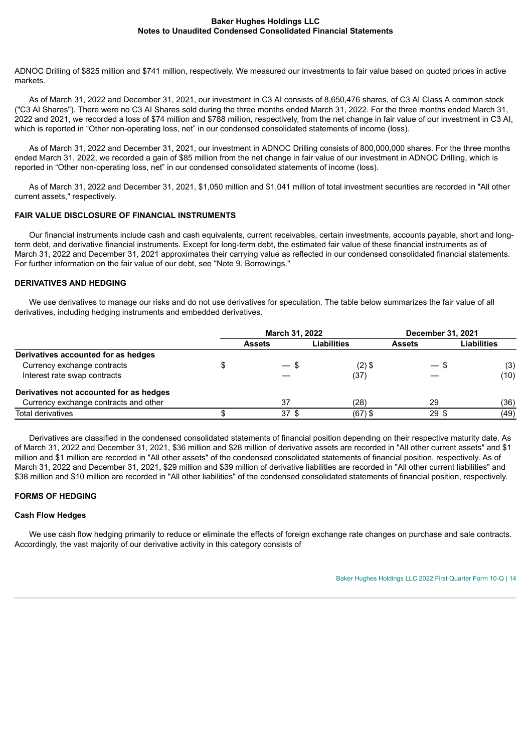ADNOC Drilling of \$825 million and \$741 million, respectively. We measured our investments to fair value based on quoted prices in active markets.

As of March 31, 2022 and December 31, 2021, our investment in C3 AI consists of 8,650,476 shares, of C3 AI Class A common stock ("C3 AI Shares"). There were no C3 AI Shares sold during the three months ended March 31, 2022. For the three months ended March 31, 2022 and 2021, we recorded a loss of \$74 million and \$788 million, respectively, from the net change in fair value of our investment in C3 AI, which is reported in "Other non-operating loss, net" in our condensed consolidated statements of income (loss).

As of March 31, 2022 and December 31, 2021, our investment in ADNOC Drilling consists of 800,000,000 shares. For the three months ended March 31, 2022, we recorded a gain of \$85 million from the net change in fair value of our investment in ADNOC Drilling, which is reported in "Other non-operating loss, net" in our condensed consolidated statements of income (loss).

As of March 31, 2022 and December 31, 2021, \$1,050 million and \$1,041 million of total investment securities are recorded in "All other current assets," respectively.

## **FAIR VALUE DISCLOSURE OF FINANCIAL INSTRUMENTS**

Our financial instruments include cash and cash equivalents, current receivables, certain investments, accounts payable, short and longterm debt, and derivative financial instruments. Except for long-term debt, the estimated fair value of these financial instruments as of March 31, 2022 and December 31, 2021 approximates their carrying value as reflected in our condensed consolidated financial statements. For further information on the fair value of our debt, see "Note 9. Borrowings."

#### **DERIVATIVES AND HEDGING**

We use derivatives to manage our risks and do not use derivatives for speculation. The table below summarizes the fair value of all derivatives, including hedging instruments and embedded derivatives.

|                                         | <b>March 31, 2022</b> |                                | December 31, 2021 |                                  |             |
|-----------------------------------------|-----------------------|--------------------------------|-------------------|----------------------------------|-------------|
|                                         |                       | Assets                         | Liabilities       | Assets                           | Liabilities |
| Derivatives accounted for as hedges     |                       |                                |                   |                                  |             |
| Currency exchange contracts             |                       | -S<br>$\overline{\phantom{a}}$ | (2) \$            | - 35<br>$\overline{\phantom{m}}$ | (3)         |
| Interest rate swap contracts            |                       |                                | (37)              |                                  | (10)        |
| Derivatives not accounted for as hedges |                       |                                |                   |                                  |             |
| Currency exchange contracts and other   |                       | 37                             | (28)              | 29                               | (36)        |
| Total derivatives                       |                       | 37 \$                          | $(67)$ \$         | 29S                              | (49)        |

Derivatives are classified in the condensed consolidated statements of financial position depending on their respective maturity date. As of March 31, 2022 and December 31, 2021, \$36 million and \$28 million of derivative assets are recorded in "All other current assets" and \$1 million and \$1 million are recorded in "All other assets" of the condensed consolidated statements of financial position, respectively. As of March 31, 2022 and December 31, 2021, \$29 million and \$39 million of derivative liabilities are recorded in "All other current liabilities" and \$38 million and \$10 million are recorded in "All other liabilities" of the condensed consolidated statements of financial position, respectively.

## **FORMS OF HEDGING**

## **Cash Flow Hedges**

We use cash flow hedging primarily to reduce or eliminate the effects of foreign exchange rate changes on purchase and sale contracts. Accordingly, the vast majority of our derivative activity in this category consists of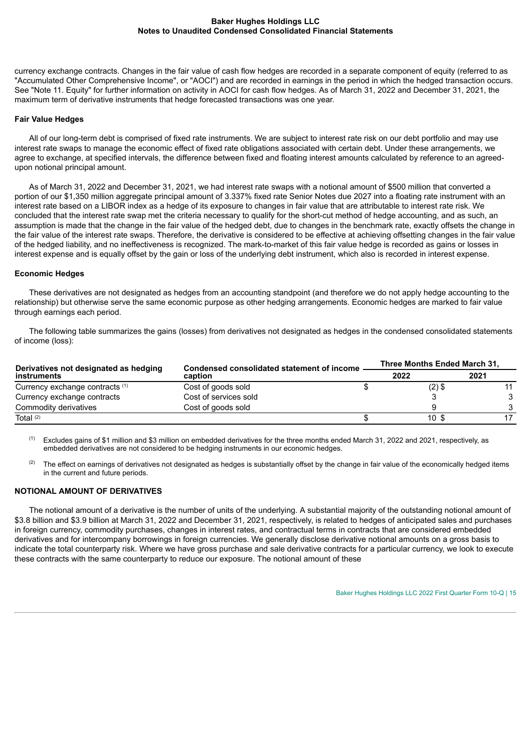currency exchange contracts. Changes in the fair value of cash flow hedges are recorded in a separate component of equity (referred to as "Accumulated Other Comprehensive Income", or "AOCI") and are recorded in earnings in the period in which the hedged transaction occurs. See "Note 11. Equity" for further information on activity in AOCI for cash flow hedges. As of March 31, 2022 and December 31, 2021, the maximum term of derivative instruments that hedge forecasted transactions was one year.

## **Fair Value Hedges**

All of our long-term debt is comprised of fixed rate instruments. We are subject to interest rate risk on our debt portfolio and may use interest rate swaps to manage the economic effect of fixed rate obligations associated with certain debt. Under these arrangements, we agree to exchange, at specified intervals, the difference between fixed and floating interest amounts calculated by reference to an agreedupon notional principal amount.

As of March 31, 2022 and December 31, 2021, we had interest rate swaps with a notional amount of \$500 million that converted a portion of our \$1,350 million aggregate principal amount of 3.337% fixed rate Senior Notes due 2027 into a floating rate instrument with an interest rate based on a LIBOR index as a hedge of its exposure to changes in fair value that are attributable to interest rate risk. We concluded that the interest rate swap met the criteria necessary to qualify for the short-cut method of hedge accounting, and as such, an assumption is made that the change in the fair value of the hedged debt, due to changes in the benchmark rate, exactly offsets the change in the fair value of the interest rate swaps. Therefore, the derivative is considered to be effective at achieving offsetting changes in the fair value of the hedged liability, and no ineffectiveness is recognized. The mark-to-market of this fair value hedge is recorded as gains or losses in interest expense and is equally offset by the gain or loss of the underlying debt instrument, which also is recorded in interest expense.

## **Economic Hedges**

These derivatives are not designated as hedges from an accounting standpoint (and therefore we do not apply hedge accounting to the relationship) but otherwise serve the same economic purpose as other hedging arrangements. Economic hedges are marked to fair value through earnings each period.

The following table summarizes the gains (losses) from derivatives not designated as hedges in the condensed consolidated statements of income (loss):

| Derivatives not designated as hedging | Condensed consolidated statement of income |      | Three Months Ended March 31, |      |
|---------------------------------------|--------------------------------------------|------|------------------------------|------|
| instruments                           | caption                                    | 2022 |                              | 2021 |
| Currency exchange contracts (1)       | Cost of goods sold                         |      | $(2)$ \$                     | 11   |
| Currency exchange contracts           | Cost of services sold                      |      |                              |      |
| Commodity derivatives                 | Cost of goods sold                         |      |                              |      |
| Total $(2)$                           |                                            |      | 10S                          |      |

Excludes gains of \$1 million and \$3 million on embedded derivatives for the three months ended March 31, 2022 and 2021, respectively, as embedded derivatives are not considered to be hedging instruments in our economic hedges. (1)

The effect on earnings of derivatives not designated as hedges is substantially offset by the change in fair value of the economically hedged items in the current and future periods. (2)

## **NOTIONAL AMOUNT OF DERIVATIVES**

The notional amount of a derivative is the number of units of the underlying. A substantial majority of the outstanding notional amount of \$3.8 billion and \$3.9 billion at March 31, 2022 and December 31, 2021, respectively, is related to hedges of anticipated sales and purchases in foreign currency, commodity purchases, changes in interest rates, and contractual terms in contracts that are considered embedded derivatives and for intercompany borrowings in foreign currencies. We generally disclose derivative notional amounts on a gross basis to indicate the total counterparty risk. Where we have gross purchase and sale derivative contracts for a particular currency, we look to execute these contracts with the same counterparty to reduce our exposure. The notional amount of these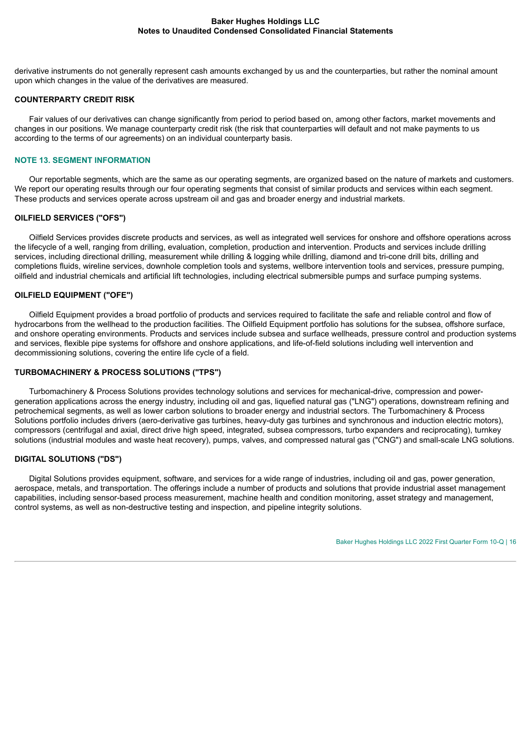derivative instruments do not generally represent cash amounts exchanged by us and the counterparties, but rather the nominal amount upon which changes in the value of the derivatives are measured.

#### **COUNTERPARTY CREDIT RISK**

Fair values of our derivatives can change significantly from period to period based on, among other factors, market movements and changes in our positions. We manage counterparty credit risk (the risk that counterparties will default and not make payments to us according to the terms of our agreements) on an individual counterparty basis.

#### **NOTE 13. SEGMENT INFORMATION**

Our reportable segments, which are the same as our operating segments, are organized based on the nature of markets and customers. We report our operating results through our four operating segments that consist of similar products and services within each segment. These products and services operate across upstream oil and gas and broader energy and industrial markets.

#### **OILFIELD SERVICES ("OFS")**

Oilfield Services provides discrete products and services, as well as integrated well services for onshore and offshore operations across the lifecycle of a well, ranging from drilling, evaluation, completion, production and intervention. Products and services include drilling services, including directional drilling, measurement while drilling & logging while drilling, diamond and tri-cone drill bits, drilling and completions fluids, wireline services, downhole completion tools and systems, wellbore intervention tools and services, pressure pumping, oilfield and industrial chemicals and artificial lift technologies, including electrical submersible pumps and surface pumping systems.

#### **OILFIELD EQUIPMENT ("OFE")**

Oilfield Equipment provides a broad portfolio of products and services required to facilitate the safe and reliable control and flow of hydrocarbons from the wellhead to the production facilities. The Oilfield Equipment portfolio has solutions for the subsea, offshore surface, and onshore operating environments. Products and services include subsea and surface wellheads, pressure control and production systems and services, flexible pipe systems for offshore and onshore applications, and life-of-field solutions including well intervention and decommissioning solutions, covering the entire life cycle of a field.

## **TURBOMACHINERY & PROCESS SOLUTIONS ("TPS")**

Turbomachinery & Process Solutions provides technology solutions and services for mechanical-drive, compression and powergeneration applications across the energy industry, including oil and gas, liquefied natural gas ("LNG") operations, downstream refining and petrochemical segments, as well as lower carbon solutions to broader energy and industrial sectors. The Turbomachinery & Process Solutions portfolio includes drivers (aero-derivative gas turbines, heavy-duty gas turbines and synchronous and induction electric motors), compressors (centrifugal and axial, direct drive high speed, integrated, subsea compressors, turbo expanders and reciprocating), turnkey solutions (industrial modules and waste heat recovery), pumps, valves, and compressed natural gas ("CNG") and small-scale LNG solutions.

#### **DIGITAL SOLUTIONS ("DS")**

Digital Solutions provides equipment, software, and services for a wide range of industries, including oil and gas, power generation, aerospace, metals, and transportation. The offerings include a number of products and solutions that provide industrial asset management capabilities, including sensor-based process measurement, machine health and condition monitoring, asset strategy and management, control systems, as well as non-destructive testing and inspection, and pipeline integrity solutions.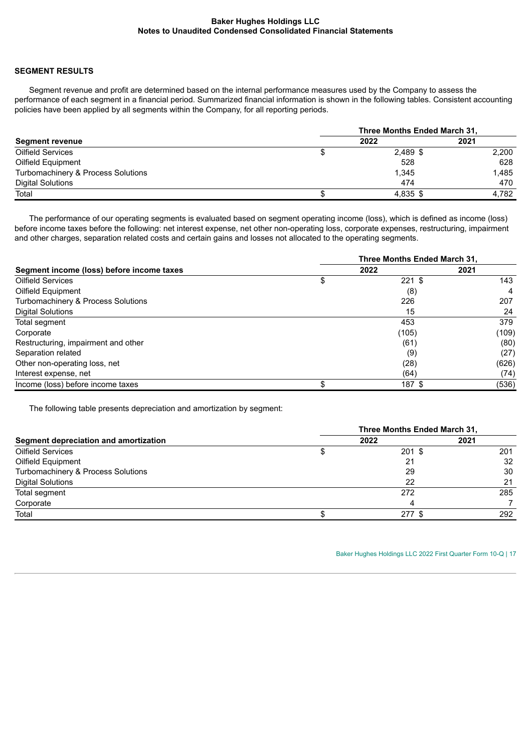## **SEGMENT RESULTS**

Segment revenue and profit are determined based on the internal performance measures used by the Company to assess the performance of each segment in a financial period. Summarized financial information is shown in the following tables. Consistent accounting policies have been applied by all segments within the Company, for all reporting periods.

|                                    | Three Months Ended March 31, |            |       |  |
|------------------------------------|------------------------------|------------|-------|--|
| <b>Segment revenue</b>             |                              | 2022       | 2021  |  |
| Oilfield Services                  |                              | $2,489$ \$ | 2,200 |  |
| Oilfield Equipment                 |                              | 528        | 628   |  |
| Turbomachinery & Process Solutions |                              | 1,345      | 1.485 |  |
| <b>Digital Solutions</b>           |                              | 474        | 470   |  |
| Total                              |                              | 4,835 \$   | 4,782 |  |

The performance of our operating segments is evaluated based on segment operating income (loss), which is defined as income (loss) before income taxes before the following: net interest expense, net other non-operating loss, corporate expenses, restructuring, impairment and other charges, separation related costs and certain gains and losses not allocated to the operating segments.

|                                           | Three Months Ended March 31, |          |       |  |
|-------------------------------------------|------------------------------|----------|-------|--|
| Segment income (loss) before income taxes |                              | 2022     | 2021  |  |
| Oilfield Services                         | \$                           | $221$ \$ | 143   |  |
| Oilfield Equipment                        |                              | (8)      | 4     |  |
| Turbomachinery & Process Solutions        |                              | 226      | 207   |  |
| <b>Digital Solutions</b>                  |                              | 15       | 24    |  |
| Total segment                             |                              | 453      | 379   |  |
| Corporate                                 |                              | (105)    | (109) |  |
| Restructuring, impairment and other       |                              | (61)     | (80)  |  |
| Separation related                        |                              | (9)      | (27)  |  |
| Other non-operating loss, net             |                              | (28)     | (626) |  |
| Interest expense, net                     |                              | (64)     | (74)  |  |
| Income (loss) before income taxes         | \$                           | 187 \$   | (536) |  |

The following table presents depreciation and amortization by segment:

|                                       | Three Months Ended March 31, |        |      |  |
|---------------------------------------|------------------------------|--------|------|--|
| Segment depreciation and amortization | 2022                         |        | 2021 |  |
| <b>Oilfield Services</b>              |                              | 201 \$ | 201  |  |
| Oilfield Equipment                    |                              | 21     | 32   |  |
| Turbomachinery & Process Solutions    |                              | 29     | 30   |  |
| <b>Digital Solutions</b>              |                              | 22     | 21   |  |
| Total segment                         |                              | 272    | 285  |  |
| Corporate                             |                              |        |      |  |
| Total                                 |                              | 277 \$ | 292  |  |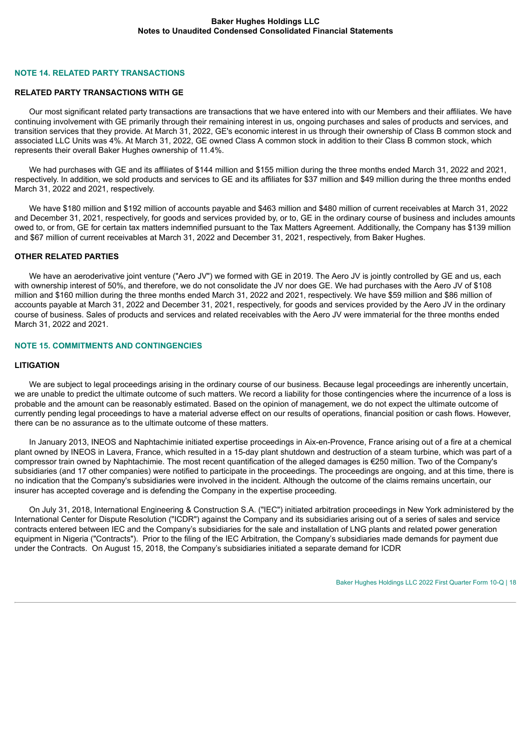## **NOTE 14. RELATED PARTY TRANSACTIONS**

# **RELATED PARTY TRANSACTIONS WITH GE**

Our most significant related party transactions are transactions that we have entered into with our Members and their affiliates. We have continuing involvement with GE primarily through their remaining interest in us, ongoing purchases and sales of products and services, and transition services that they provide. At March 31, 2022, GE's economic interest in us through their ownership of Class B common stock and associated LLC Units was 4%. At March 31, 2022, GE owned Class A common stock in addition to their Class B common stock, which represents their overall Baker Hughes ownership of 11.4%.

We had purchases with GE and its affiliates of \$144 million and \$155 million during the three months ended March 31, 2022 and 2021, respectively. In addition, we sold products and services to GE and its affiliates for \$37 million and \$49 million during the three months ended March 31, 2022 and 2021, respectively.

We have \$180 million and \$192 million of accounts payable and \$463 million and \$480 million of current receivables at March 31, 2022 and December 31, 2021, respectively, for goods and services provided by, or to, GE in the ordinary course of business and includes amounts owed to, or from, GE for certain tax matters indemnified pursuant to the Tax Matters Agreement. Additionally, the Company has \$139 million and \$67 million of current receivables at March 31, 2022 and December 31, 2021, respectively, from Baker Hughes.

## **OTHER RELATED PARTIES**

We have an aeroderivative joint venture ("Aero JV") we formed with GE in 2019. The Aero JV is jointly controlled by GE and us, each with ownership interest of 50%, and therefore, we do not consolidate the JV nor does GE. We had purchases with the Aero JV of \$108 million and \$160 million during the three months ended March 31, 2022 and 2021, respectively. We have \$59 million and \$86 million of accounts payable at March 31, 2022 and December 31, 2021, respectively, for goods and services provided by the Aero JV in the ordinary course of business. Sales of products and services and related receivables with the Aero JV were immaterial for the three months ended March 31, 2022 and 2021.

## **NOTE 15. COMMITMENTS AND CONTINGENCIES**

## **LITIGATION**

We are subject to legal proceedings arising in the ordinary course of our business. Because legal proceedings are inherently uncertain, we are unable to predict the ultimate outcome of such matters. We record a liability for those contingencies where the incurrence of a loss is probable and the amount can be reasonably estimated. Based on the opinion of management, we do not expect the ultimate outcome of currently pending legal proceedings to have a material adverse effect on our results of operations, financial position or cash flows. However, there can be no assurance as to the ultimate outcome of these matters.

In January 2013, INEOS and Naphtachimie initiated expertise proceedings in Aix-en-Provence, France arising out of a fire at a chemical plant owned by INEOS in Lavera, France, which resulted in a 15-day plant shutdown and destruction of a steam turbine, which was part of a compressor train owned by Naphtachimie. The most recent quantification of the alleged damages is €250 million. Two of the Company's subsidiaries (and 17 other companies) were notified to participate in the proceedings. The proceedings are ongoing, and at this time, there is no indication that the Company's subsidiaries were involved in the incident. Although the outcome of the claims remains uncertain, our insurer has accepted coverage and is defending the Company in the expertise proceeding.

On July 31, 2018, International Engineering & Construction S.A. ("IEC") initiated arbitration proceedings in New York administered by the International Center for Dispute Resolution ("ICDR") against the Company and its subsidiaries arising out of a series of sales and service contracts entered between IEC and the Company's subsidiaries for the sale and installation of LNG plants and related power generation equipment in Nigeria ("Contracts"). Prior to the filing of the IEC Arbitration, the Company's subsidiaries made demands for payment due under the Contracts. On August 15, 2018, the Company's subsidiaries initiated a separate demand for ICDR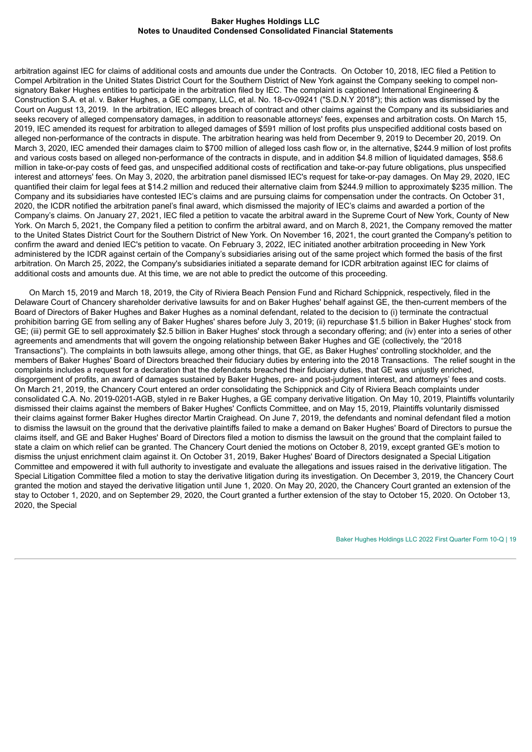arbitration against IEC for claims of additional costs and amounts due under the Contracts. On October 10, 2018, IEC filed a Petition to Compel Arbitration in the United States District Court for the Southern District of New York against the Company seeking to compel nonsignatory Baker Hughes entities to participate in the arbitration filed by IEC. The complaint is captioned International Engineering & Construction S.A. et al. v. Baker Hughes, a GE company, LLC, et al. No. 18-cv-09241 ("S.D.N.Y 2018"); this action was dismissed by the Court on August 13, 2019. In the arbitration, IEC alleges breach of contract and other claims against the Company and its subsidiaries and seeks recovery of alleged compensatory damages, in addition to reasonable attorneys' fees, expenses and arbitration costs. On March 15, 2019, IEC amended its request for arbitration to alleged damages of \$591 million of lost profits plus unspecified additional costs based on alleged non-performance of the contracts in dispute. The arbitration hearing was held from December 9, 2019 to December 20, 2019. On March 3, 2020, IEC amended their damages claim to \$700 million of alleged loss cash flow or, in the alternative, \$244.9 million of lost profits and various costs based on alleged non-performance of the contracts in dispute, and in addition \$4.8 million of liquidated damages, \$58.6 million in take-or-pay costs of feed gas, and unspecified additional costs of rectification and take-or-pay future obligations, plus unspecified interest and attorneys' fees. On May 3, 2020, the arbitration panel dismissed IEC's request for take-or-pay damages. On May 29, 2020, IEC quantified their claim for legal fees at \$14.2 million and reduced their alternative claim from \$244.9 million to approximately \$235 million. The Company and its subsidiaries have contested IEC's claims and are pursuing claims for compensation under the contracts. On October 31, 2020, the ICDR notified the arbitration panel's final award, which dismissed the majority of IEC's claims and awarded a portion of the Company's claims. On January 27, 2021, IEC filed a petition to vacate the arbitral award in the Supreme Court of New York, County of New York. On March 5, 2021, the Company filed a petition to confirm the arbitral award, and on March 8, 2021, the Company removed the matter to the United States District Court for the Southern District of New York. On November 16, 2021, the court granted the Company's petition to confirm the award and denied IEC's petition to vacate. On February 3, 2022, IEC initiated another arbitration proceeding in New York administered by the ICDR against certain of the Company's subsidiaries arising out of the same project which formed the basis of the first arbitration. On March 25, 2022, the Company's subsidiaries initiated a separate demand for ICDR arbitration against IEC for claims of additional costs and amounts due. At this time, we are not able to predict the outcome of this proceeding.

On March 15, 2019 and March 18, 2019, the City of Riviera Beach Pension Fund and Richard Schippnick, respectively, filed in the Delaware Court of Chancery shareholder derivative lawsuits for and on Baker Hughes' behalf against GE, the then-current members of the Board of Directors of Baker Hughes and Baker Hughes as a nominal defendant, related to the decision to (i) terminate the contractual prohibition barring GE from selling any of Baker Hughes' shares before July 3, 2019; (ii) repurchase \$1.5 billion in Baker Hughes' stock from GE; (iii) permit GE to sell approximately \$2.5 billion in Baker Hughes' stock through a secondary offering; and (iv) enter into a series of other agreements and amendments that will govern the ongoing relationship between Baker Hughes and GE (collectively, the "2018 Transactions"). The complaints in both lawsuits allege, among other things, that GE, as Baker Hughes' controlling stockholder, and the members of Baker Hughes' Board of Directors breached their fiduciary duties by entering into the 2018 Transactions. The relief sought in the complaints includes a request for a declaration that the defendants breached their fiduciary duties, that GE was unjustly enriched, disgorgement of profits, an award of damages sustained by Baker Hughes, pre- and post-judgment interest, and attorneys' fees and costs. On March 21, 2019, the Chancery Court entered an order consolidating the Schippnick and City of Riviera Beach complaints under consolidated C.A. No. 2019-0201-AGB, styled in re Baker Hughes, a GE company derivative litigation. On May 10, 2019, Plaintiffs voluntarily dismissed their claims against the members of Baker Hughes' Conflicts Committee, and on May 15, 2019, Plaintiffs voluntarily dismissed their claims against former Baker Hughes director Martin Craighead. On June 7, 2019, the defendants and nominal defendant filed a motion to dismiss the lawsuit on the ground that the derivative plaintiffs failed to make a demand on Baker Hughes' Board of Directors to pursue the claims itself, and GE and Baker Hughes' Board of Directors filed a motion to dismiss the lawsuit on the ground that the complaint failed to state a claim on which relief can be granted. The Chancery Court denied the motions on October 8, 2019, except granted GE's motion to dismiss the unjust enrichment claim against it. On October 31, 2019, Baker Hughes' Board of Directors designated a Special Litigation Committee and empowered it with full authority to investigate and evaluate the allegations and issues raised in the derivative litigation. The Special Litigation Committee filed a motion to stay the derivative litigation during its investigation. On December 3, 2019, the Chancery Court granted the motion and stayed the derivative litigation until June 1, 2020. On May 20, 2020, the Chancery Court granted an extension of the stay to October 1, 2020, and on September 29, 2020, the Court granted a further extension of the stay to October 15, 2020. On October 13, 2020, the Special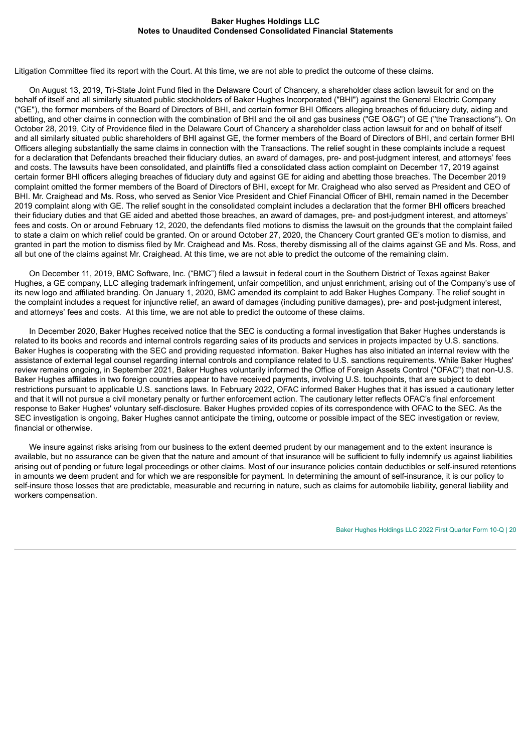Litigation Committee filed its report with the Court. At this time, we are not able to predict the outcome of these claims.

On August 13, 2019, Tri-State Joint Fund filed in the Delaware Court of Chancery, a shareholder class action lawsuit for and on the behalf of itself and all similarly situated public stockholders of Baker Hughes Incorporated ("BHI") against the General Electric Company ("GE"), the former members of the Board of Directors of BHI, and certain former BHI Officers alleging breaches of fiduciary duty, aiding and abetting, and other claims in connection with the combination of BHI and the oil and gas business ("GE O&G") of GE ("the Transactions"). On October 28, 2019, City of Providence filed in the Delaware Court of Chancery a shareholder class action lawsuit for and on behalf of itself and all similarly situated public shareholders of BHI against GE, the former members of the Board of Directors of BHI, and certain former BHI Officers alleging substantially the same claims in connection with the Transactions. The relief sought in these complaints include a request for a declaration that Defendants breached their fiduciary duties, an award of damages, pre- and post-judgment interest, and attorneys' fees and costs. The lawsuits have been consolidated, and plaintiffs filed a consolidated class action complaint on December 17, 2019 against certain former BHI officers alleging breaches of fiduciary duty and against GE for aiding and abetting those breaches. The December 2019 complaint omitted the former members of the Board of Directors of BHI, except for Mr. Craighead who also served as President and CEO of BHI. Mr. Craighead and Ms. Ross, who served as Senior Vice President and Chief Financial Officer of BHI, remain named in the December 2019 complaint along with GE. The relief sought in the consolidated complaint includes a declaration that the former BHI officers breached their fiduciary duties and that GE aided and abetted those breaches, an award of damages, pre- and post-judgment interest, and attorneys' fees and costs. On or around February 12, 2020, the defendants filed motions to dismiss the lawsuit on the grounds that the complaint failed to state a claim on which relief could be granted. On or around October 27, 2020, the Chancery Court granted GE's motion to dismiss, and granted in part the motion to dismiss filed by Mr. Craighead and Ms. Ross, thereby dismissing all of the claims against GE and Ms. Ross, and all but one of the claims against Mr. Craighead. At this time, we are not able to predict the outcome of the remaining claim.

On December 11, 2019, BMC Software, Inc. ("BMC") filed a lawsuit in federal court in the Southern District of Texas against Baker Hughes, a GE company, LLC alleging trademark infringement, unfair competition, and unjust enrichment, arising out of the Company's use of its new logo and affiliated branding. On January 1, 2020, BMC amended its complaint to add Baker Hughes Company. The relief sought in the complaint includes a request for injunctive relief, an award of damages (including punitive damages), pre- and post-judgment interest, and attorneys' fees and costs. At this time, we are not able to predict the outcome of these claims.

In December 2020, Baker Hughes received notice that the SEC is conducting a formal investigation that Baker Hughes understands is related to its books and records and internal controls regarding sales of its products and services in projects impacted by U.S. sanctions. Baker Hughes is cooperating with the SEC and providing requested information. Baker Hughes has also initiated an internal review with the assistance of external legal counsel regarding internal controls and compliance related to U.S. sanctions requirements. While Baker Hughes' review remains ongoing, in September 2021, Baker Hughes voluntarily informed the Office of Foreign Assets Control ("OFAC") that non-U.S. Baker Hughes affiliates in two foreign countries appear to have received payments, involving U.S. touchpoints, that are subject to debt restrictions pursuant to applicable U.S. sanctions laws. In February 2022, OFAC informed Baker Hughes that it has issued a cautionary letter and that it will not pursue a civil monetary penalty or further enforcement action. The cautionary letter reflects OFAC's final enforcement response to Baker Hughes' voluntary self-disclosure. Baker Hughes provided copies of its correspondence with OFAC to the SEC. As the SEC investigation is ongoing, Baker Hughes cannot anticipate the timing, outcome or possible impact of the SEC investigation or review, financial or otherwise.

We insure against risks arising from our business to the extent deemed prudent by our management and to the extent insurance is available, but no assurance can be given that the nature and amount of that insurance will be sufficient to fully indemnify us against liabilities arising out of pending or future legal proceedings or other claims. Most of our insurance policies contain deductibles or self-insured retentions in amounts we deem prudent and for which we are responsible for payment. In determining the amount of self-insurance, it is our policy to self-insure those losses that are predictable, measurable and recurring in nature, such as claims for automobile liability, general liability and workers compensation.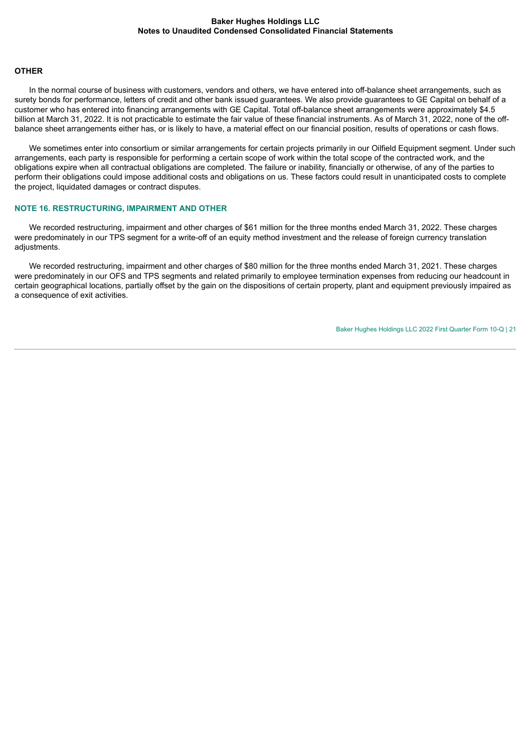#### **OTHER**

In the normal course of business with customers, vendors and others, we have entered into off-balance sheet arrangements, such as surety bonds for performance, letters of credit and other bank issued guarantees. We also provide guarantees to GE Capital on behalf of a customer who has entered into financing arrangements with GE Capital. Total off-balance sheet arrangements were approximately \$4.5 billion at March 31, 2022. It is not practicable to estimate the fair value of these financial instruments. As of March 31, 2022, none of the offbalance sheet arrangements either has, or is likely to have, a material effect on our financial position, results of operations or cash flows.

We sometimes enter into consortium or similar arrangements for certain projects primarily in our Oilfield Equipment segment. Under such arrangements, each party is responsible for performing a certain scope of work within the total scope of the contracted work, and the obligations expire when all contractual obligations are completed. The failure or inability, financially or otherwise, of any of the parties to perform their obligations could impose additional costs and obligations on us. These factors could result in unanticipated costs to complete the project, liquidated damages or contract disputes.

#### **NOTE 16. RESTRUCTURING, IMPAIRMENT AND OTHER**

We recorded restructuring, impairment and other charges of \$61 million for the three months ended March 31, 2022. These charges were predominately in our TPS segment for a write-off of an equity method investment and the release of foreign currency translation adjustments.

<span id="page-22-0"></span>We recorded restructuring, impairment and other charges of \$80 million for the three months ended March 31, 2021. These charges were predominately in our OFS and TPS segments and related primarily to employee termination expenses from reducing our headcount in certain geographical locations, partially offset by the gain on the dispositions of certain property, plant and equipment previously impaired as a consequence of exit activities.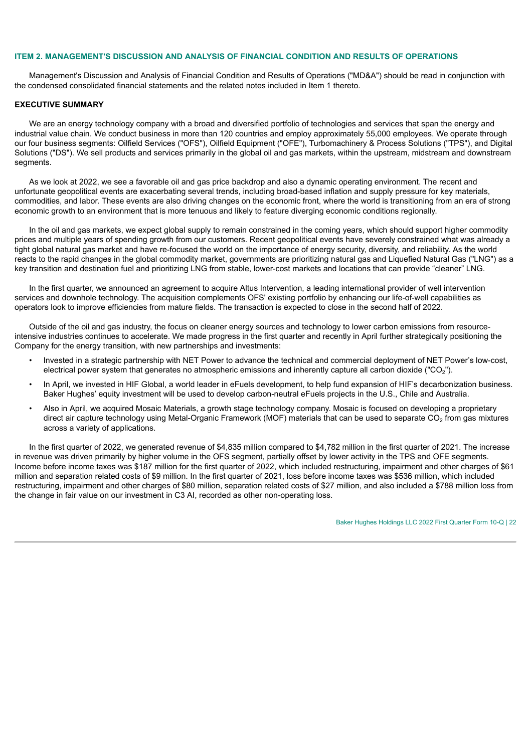## **ITEM 2. MANAGEMENT'S DISCUSSION AND ANALYSIS OF FINANCIAL CONDITION AND RESULTS OF OPERATIONS**

Management's Discussion and Analysis of Financial Condition and Results of Operations ("MD&A") should be read in conjunction with the condensed consolidated financial statements and the related notes included in Item 1 thereto.

#### **EXECUTIVE SUMMARY**

We are an energy technology company with a broad and diversified portfolio of technologies and services that span the energy and industrial value chain. We conduct business in more than 120 countries and employ approximately 55,000 employees. We operate through our four business segments: Oilfield Services ("OFS"), Oilfield Equipment ("OFE"), Turbomachinery & Process Solutions ("TPS"), and Digital Solutions ("DS"). We sell products and services primarily in the global oil and gas markets, within the upstream, midstream and downstream segments.

As we look at 2022, we see a favorable oil and gas price backdrop and also a dynamic operating environment. The recent and unfortunate geopolitical events are exacerbating several trends, including broad-based inflation and supply pressure for key materials, commodities, and labor. These events are also driving changes on the economic front, where the world is transitioning from an era of strong economic growth to an environment that is more tenuous and likely to feature diverging economic conditions regionally.

In the oil and gas markets, we expect global supply to remain constrained in the coming years, which should support higher commodity prices and multiple years of spending growth from our customers. Recent geopolitical events have severely constrained what was already a tight global natural gas market and have re-focused the world on the importance of energy security, diversity, and reliability. As the world reacts to the rapid changes in the global commodity market, governments are prioritizing natural gas and Liquefied Natural Gas ("LNG") as a key transition and destination fuel and prioritizing LNG from stable, lower-cost markets and locations that can provide "cleaner" LNG.

In the first quarter, we announced an agreement to acquire Altus Intervention, a leading international provider of well intervention services and downhole technology. The acquisition complements OFS' existing portfolio by enhancing our life-of-well capabilities as operators look to improve efficiencies from mature fields. The transaction is expected to close in the second half of 2022.

Outside of the oil and gas industry, the focus on cleaner energy sources and technology to lower carbon emissions from resourceintensive industries continues to accelerate. We made progress in the first quarter and recently in April further strategically positioning the Company for the energy transition, with new partnerships and investments:

- Invested in a strategic partnership with NET Power to advance the technical and commercial deployment of NET Power's low-cost, electrical power system that generates no atmospheric emissions and inherently capture all carbon dioxide ("CO $_2$ ").
- In April, we invested in HIF Global, a world leader in eFuels development, to help fund expansion of HIF's decarbonization business. Baker Hughes' equity investment will be used to develop carbon-neutral eFuels projects in the U.S., Chile and Australia.
- Also in April, we acquired Mosaic Materials, a growth stage technology company. Mosaic is focused on developing a proprietary direct air capture technology using Metal-Organic Framework (MOF) materials that can be used to separate CO<sub>2</sub> from gas mixtures across a variety of applications.

In the first quarter of 2022, we generated revenue of \$4,835 million compared to \$4,782 million in the first quarter of 2021. The increase in revenue was driven primarily by higher volume in the OFS segment, partially offset by lower activity in the TPS and OFE segments. Income before income taxes was \$187 million for the first quarter of 2022, which included restructuring, impairment and other charges of \$61 million and separation related costs of \$9 million. In the first quarter of 2021, loss before income taxes was \$536 million, which included restructuring, impairment and other charges of \$80 million, separation related costs of \$27 million, and also included a \$788 million loss from the change in fair value on our investment in C3 AI, recorded as other non-operating loss.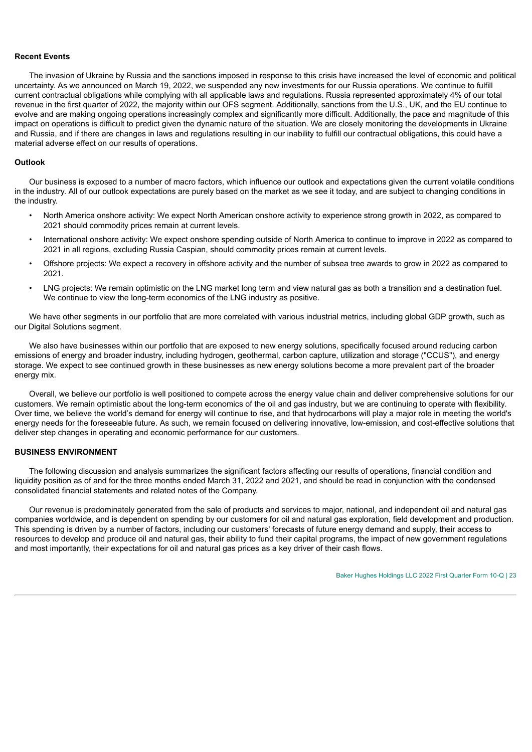## **Recent Events**

The invasion of Ukraine by Russia and the sanctions imposed in response to this crisis have increased the level of economic and political uncertainty. As we announced on March 19, 2022, we suspended any new investments for our Russia operations. We continue to fulfill current contractual obligations while complying with all applicable laws and regulations. Russia represented approximately 4% of our total revenue in the first quarter of 2022, the majority within our OFS segment. Additionally, sanctions from the U.S., UK, and the EU continue to evolve and are making ongoing operations increasingly complex and significantly more difficult. Additionally, the pace and magnitude of this impact on operations is difficult to predict given the dynamic nature of the situation. We are closely monitoring the developments in Ukraine and Russia, and if there are changes in laws and regulations resulting in our inability to fulfill our contractual obligations, this could have a material adverse effect on our results of operations.

#### **Outlook**

Our business is exposed to a number of macro factors, which influence our outlook and expectations given the current volatile conditions in the industry. All of our outlook expectations are purely based on the market as we see it today, and are subject to changing conditions in the industry.

- North America onshore activity: We expect North American onshore activity to experience strong growth in 2022, as compared to 2021 should commodity prices remain at current levels.
- International onshore activity: We expect onshore spending outside of North America to continue to improve in 2022 as compared to 2021 in all regions, excluding Russia Caspian, should commodity prices remain at current levels.
- Offshore projects: We expect a recovery in offshore activity and the number of subsea tree awards to grow in 2022 as compared to 2021.
- LNG projects: We remain optimistic on the LNG market long term and view natural gas as both a transition and a destination fuel. We continue to view the long-term economics of the LNG industry as positive.

We have other segments in our portfolio that are more correlated with various industrial metrics, including global GDP growth, such as our Digital Solutions segment.

We also have businesses within our portfolio that are exposed to new energy solutions, specifically focused around reducing carbon emissions of energy and broader industry, including hydrogen, geothermal, carbon capture, utilization and storage ("CCUS"), and energy storage. We expect to see continued growth in these businesses as new energy solutions become a more prevalent part of the broader energy mix.

Overall, we believe our portfolio is well positioned to compete across the energy value chain and deliver comprehensive solutions for our customers. We remain optimistic about the long-term economics of the oil and gas industry, but we are continuing to operate with flexibility. Over time, we believe the world's demand for energy will continue to rise, and that hydrocarbons will play a major role in meeting the world's energy needs for the foreseeable future. As such, we remain focused on delivering innovative, low-emission, and cost-effective solutions that deliver step changes in operating and economic performance for our customers.

#### **BUSINESS ENVIRONMENT**

The following discussion and analysis summarizes the significant factors affecting our results of operations, financial condition and liquidity position as of and for the three months ended March 31, 2022 and 2021, and should be read in conjunction with the condensed consolidated financial statements and related notes of the Company.

Our revenue is predominately generated from the sale of products and services to major, national, and independent oil and natural gas companies worldwide, and is dependent on spending by our customers for oil and natural gas exploration, field development and production. This spending is driven by a number of factors, including our customers' forecasts of future energy demand and supply, their access to resources to develop and produce oil and natural gas, their ability to fund their capital programs, the impact of new government regulations and most importantly, their expectations for oil and natural gas prices as a key driver of their cash flows.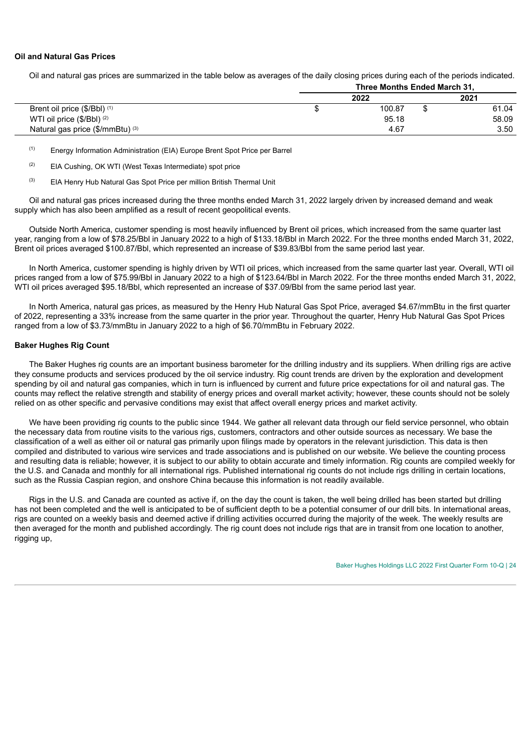## **Oil and Natural Gas Prices**

Oil and natural gas prices are summarized in the table below as averages of the daily closing prices during each of the periods indicated. **Three Months Ended March 31,**

| $\blacksquare$ |        |  |       |
|----------------|--------|--|-------|
|                | 2022   |  | 2021  |
|                | 100.87 |  | 61.04 |
|                | 95.18  |  | 58.09 |
|                | 4.67   |  | 3.50  |
|                |        |  |       |

Energy Information Administration (EIA) Europe Brent Spot Price per Barrel (1)

EIA Cushing, OK WTI (West Texas Intermediate) spot price (2)

EIA Henry Hub Natural Gas Spot Price per million British Thermal Unit (3)

Oil and natural gas prices increased during the three months ended March 31, 2022 largely driven by increased demand and weak supply which has also been amplified as a result of recent geopolitical events.

Outside North America, customer spending is most heavily influenced by Brent oil prices, which increased from the same quarter last year, ranging from a low of \$78.25/Bbl in January 2022 to a high of \$133.18/Bbl in March 2022. For the three months ended March 31, 2022, Brent oil prices averaged \$100.87/Bbl, which represented an increase of \$39.83/Bbl from the same period last year.

In North America, customer spending is highly driven by WTI oil prices, which increased from the same quarter last year. Overall, WTI oil prices ranged from a low of \$75.99/Bbl in January 2022 to a high of \$123.64/Bbl in March 2022. For the three months ended March 31, 2022, WTI oil prices averaged \$95.18/Bbl, which represented an increase of \$37.09/Bbl from the same period last year.

In North America, natural gas prices, as measured by the Henry Hub Natural Gas Spot Price, averaged \$4.67/mmBtu in the first quarter of 2022, representing a 33% increase from the same quarter in the prior year. Throughout the quarter, Henry Hub Natural Gas Spot Prices ranged from a low of \$3.73/mmBtu in January 2022 to a high of \$6.70/mmBtu in February 2022.

#### **Baker Hughes Rig Count**

The Baker Hughes rig counts are an important business barometer for the drilling industry and its suppliers. When drilling rigs are active they consume products and services produced by the oil service industry. Rig count trends are driven by the exploration and development spending by oil and natural gas companies, which in turn is influenced by current and future price expectations for oil and natural gas. The counts may reflect the relative strength and stability of energy prices and overall market activity; however, these counts should not be solely relied on as other specific and pervasive conditions may exist that affect overall energy prices and market activity.

We have been providing rig counts to the public since 1944. We gather all relevant data through our field service personnel, who obtain the necessary data from routine visits to the various rigs, customers, contractors and other outside sources as necessary. We base the classification of a well as either oil or natural gas primarily upon filings made by operators in the relevant jurisdiction. This data is then compiled and distributed to various wire services and trade associations and is published on our website. We believe the counting process and resulting data is reliable; however, it is subject to our ability to obtain accurate and timely information. Rig counts are compiled weekly for the U.S. and Canada and monthly for all international rigs. Published international rig counts do not include rigs drilling in certain locations, such as the Russia Caspian region, and onshore China because this information is not readily available.

Rigs in the U.S. and Canada are counted as active if, on the day the count is taken, the well being drilled has been started but drilling has not been completed and the well is anticipated to be of sufficient depth to be a potential consumer of our drill bits. In international areas, rigs are counted on a weekly basis and deemed active if drilling activities occurred during the majority of the week. The weekly results are then averaged for the month and published accordingly. The rig count does not include rigs that are in transit from one location to another, rigging up,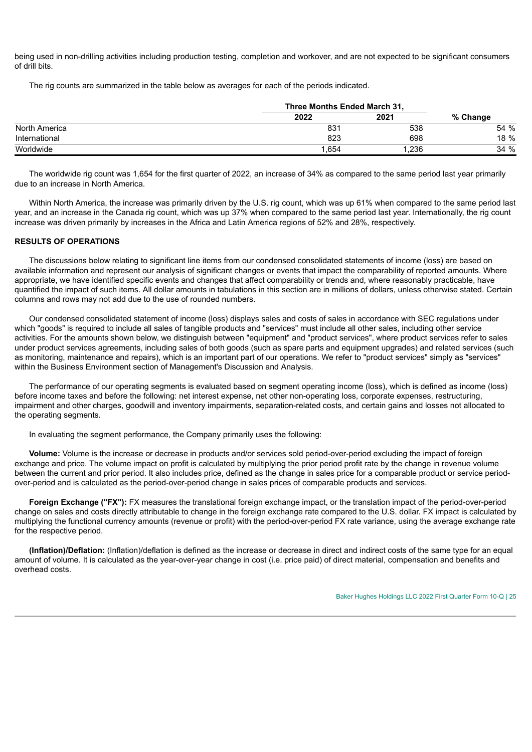being used in non-drilling activities including production testing, completion and workover, and are not expected to be significant consumers of drill bits.

The rig counts are summarized in the table below as averages for each of the periods indicated.

|               | Three Months Ended March 31, |      |          |
|---------------|------------------------------|------|----------|
|               | 2022                         | 2021 | % Change |
| North America | 831                          | 538  | 54 %     |
| International | 823                          | 698  | 18 %     |
| Worldwide     | 1,654                        | .236 | 34%      |

The worldwide rig count was 1,654 for the first quarter of 2022, an increase of 34% as compared to the same period last year primarily due to an increase in North America.

Within North America, the increase was primarily driven by the U.S. rig count, which was up 61% when compared to the same period last year, and an increase in the Canada rig count, which was up 37% when compared to the same period last year. Internationally, the rig count increase was driven primarily by increases in the Africa and Latin America regions of 52% and 28%, respectively.

## **RESULTS OF OPERATIONS**

The discussions below relating to significant line items from our condensed consolidated statements of income (loss) are based on available information and represent our analysis of significant changes or events that impact the comparability of reported amounts. Where appropriate, we have identified specific events and changes that affect comparability or trends and, where reasonably practicable, have quantified the impact of such items. All dollar amounts in tabulations in this section are in millions of dollars, unless otherwise stated. Certain columns and rows may not add due to the use of rounded numbers.

Our condensed consolidated statement of income (loss) displays sales and costs of sales in accordance with SEC regulations under which "goods" is required to include all sales of tangible products and "services" must include all other sales, including other service activities. For the amounts shown below, we distinguish between "equipment" and "product services", where product services refer to sales under product services agreements, including sales of both goods (such as spare parts and equipment upgrades) and related services (such as monitoring, maintenance and repairs), which is an important part of our operations. We refer to "product services" simply as "services" within the Business Environment section of Management's Discussion and Analysis.

The performance of our operating segments is evaluated based on segment operating income (loss), which is defined as income (loss) before income taxes and before the following: net interest expense, net other non-operating loss, corporate expenses, restructuring, impairment and other charges, goodwill and inventory impairments, separation-related costs, and certain gains and losses not allocated to the operating segments.

In evaluating the segment performance, the Company primarily uses the following:

**Volume:** Volume is the increase or decrease in products and/or services sold period-over-period excluding the impact of foreign exchange and price. The volume impact on profit is calculated by multiplying the prior period profit rate by the change in revenue volume between the current and prior period. It also includes price, defined as the change in sales price for a comparable product or service periodover-period and is calculated as the period-over-period change in sales prices of comparable products and services.

**Foreign Exchange ("FX"):** FX measures the translational foreign exchange impact, or the translation impact of the period-over-period change on sales and costs directly attributable to change in the foreign exchange rate compared to the U.S. dollar. FX impact is calculated by multiplying the functional currency amounts (revenue or profit) with the period-over-period FX rate variance, using the average exchange rate for the respective period.

**(Inflation)/Deflation:** (Inflation)/deflation is defined as the increase or decrease in direct and indirect costs of the same type for an equal amount of volume. It is calculated as the year-over-year change in cost (i.e. price paid) of direct material, compensation and benefits and overhead costs.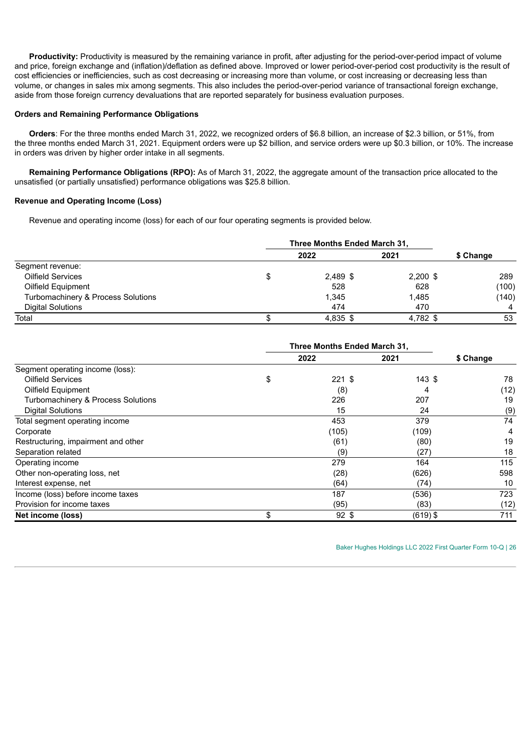Productivity: Productivity is measured by the remaining variance in profit, after adjusting for the period-over-period impact of volume and price, foreign exchange and (inflation)/deflation as defined above. Improved or lower period-over-period cost productivity is the result of cost efficiencies or inefficiencies, such as cost decreasing or increasing more than volume, or cost increasing or decreasing less than volume, or changes in sales mix among segments. This also includes the period-over-period variance of transactional foreign exchange, aside from those foreign currency devaluations that are reported separately for business evaluation purposes.

## **Orders and Remaining Performance Obligations**

**Orders**: For the three months ended March 31, 2022, we recognized orders of \$6.8 billion, an increase of \$2.3 billion, or 51%, from the three months ended March 31, 2021. Equipment orders were up \$2 billion, and service orders were up \$0.3 billion, or 10%. The increase in orders was driven by higher order intake in all segments.

**Remaining Performance Obligations (RPO):** As of March 31, 2022, the aggregate amount of the transaction price allocated to the unsatisfied (or partially unsatisfied) performance obligations was \$25.8 billion.

## **Revenue and Operating Income (Loss)**

Revenue and operating income (loss) for each of our four operating segments is provided below.

|                                    | Three Months Ended March 31, |            |            |           |  |
|------------------------------------|------------------------------|------------|------------|-----------|--|
|                                    |                              | 2022       | 2021       | \$ Change |  |
| Segment revenue:                   |                              |            |            |           |  |
| Oilfield Services                  | \$                           | $2,489$ \$ | $2,200$ \$ | 289       |  |
| Oilfield Equipment                 |                              | 528        | 628        | (100)     |  |
| Turbomachinery & Process Solutions |                              | 1,345      | 1.485      | (140)     |  |
| <b>Digital Solutions</b>           |                              | 474        | 470        | 4         |  |
| Total                              |                              | 4,835 \$   | 4.782 \$   | 53        |  |

|                                     | Three Months Ended March 31, |               |                   |           |
|-------------------------------------|------------------------------|---------------|-------------------|-----------|
|                                     |                              | 2022          | 2021              | \$ Change |
| Segment operating income (loss):    |                              |               |                   |           |
| Oilfield Services                   | \$                           | $221$ \$      | $143 \text{ }$ \$ | 78        |
| Oilfield Equipment                  |                              | (8)           |                   | (12)      |
| Turbomachinery & Process Solutions  |                              | 226           | 207               | 19        |
| <b>Digital Solutions</b>            |                              | 15            | 24                | (9)       |
| Total segment operating income      |                              | 453           | 379               | 74        |
| Corporate                           |                              | (105)         | (109)             | 4         |
| Restructuring, impairment and other |                              | (61)          | (80)              | 19        |
| Separation related                  |                              | (9)           | (27)              | 18        |
| Operating income                    |                              | 279           | 164               | 115       |
| Other non-operating loss, net       |                              | (28)          | (626)             | 598       |
| Interest expense, net               |                              | (64)          | (74)              | 10        |
| Income (loss) before income taxes   |                              | 187           | (536)             | 723       |
| Provision for income taxes          |                              | (95)          | (83)              | (12)      |
| Net income (loss)                   | \$                           | $92 \text{ }$ | $(619)$ \$        | 711       |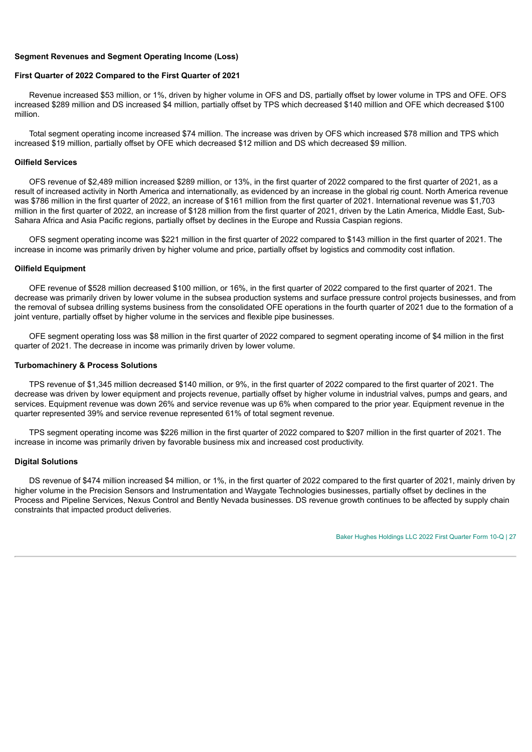#### **Segment Revenues and Segment Operating Income (Loss)**

#### **First Quarter of 2022 Compared to the First Quarter of 2021**

Revenue increased \$53 million, or 1%, driven by higher volume in OFS and DS, partially offset by lower volume in TPS and OFE. OFS increased \$289 million and DS increased \$4 million, partially offset by TPS which decreased \$140 million and OFE which decreased \$100 million.

Total segment operating income increased \$74 million. The increase was driven by OFS which increased \$78 million and TPS which increased \$19 million, partially offset by OFE which decreased \$12 million and DS which decreased \$9 million.

#### **Oilfield Services**

OFS revenue of \$2,489 million increased \$289 million, or 13%, in the first quarter of 2022 compared to the first quarter of 2021, as a result of increased activity in North America and internationally, as evidenced by an increase in the global rig count. North America revenue was \$786 million in the first quarter of 2022, an increase of \$161 million from the first quarter of 2021. International revenue was \$1,703 million in the first quarter of 2022, an increase of \$128 million from the first quarter of 2021, driven by the Latin America, Middle East, Sub-Sahara Africa and Asia Pacific regions, partially offset by declines in the Europe and Russia Caspian regions.

OFS segment operating income was \$221 million in the first quarter of 2022 compared to \$143 million in the first quarter of 2021. The increase in income was primarily driven by higher volume and price, partially offset by logistics and commodity cost inflation.

## **Oilfield Equipment**

OFE revenue of \$528 million decreased \$100 million, or 16%, in the first quarter of 2022 compared to the first quarter of 2021. The decrease was primarily driven by lower volume in the subsea production systems and surface pressure control projects businesses, and from the removal of subsea drilling systems business from the consolidated OFE operations in the fourth quarter of 2021 due to the formation of a joint venture, partially offset by higher volume in the services and flexible pipe businesses.

OFE segment operating loss was \$8 million in the first quarter of 2022 compared to segment operating income of \$4 million in the first quarter of 2021. The decrease in income was primarily driven by lower volume.

#### **Turbomachinery & Process Solutions**

TPS revenue of \$1,345 million decreased \$140 million, or 9%, in the first quarter of 2022 compared to the first quarter of 2021. The decrease was driven by lower equipment and projects revenue, partially offset by higher volume in industrial valves, pumps and gears, and services. Equipment revenue was down 26% and service revenue was up 6% when compared to the prior year. Equipment revenue in the quarter represented 39% and service revenue represented 61% of total segment revenue.

TPS segment operating income was \$226 million in the first quarter of 2022 compared to \$207 million in the first quarter of 2021. The increase in income was primarily driven by favorable business mix and increased cost productivity.

#### **Digital Solutions**

DS revenue of \$474 million increased \$4 million, or 1%, in the first quarter of 2022 compared to the first quarter of 2021, mainly driven by higher volume in the Precision Sensors and Instrumentation and Waygate Technologies businesses, partially offset by declines in the Process and Pipeline Services, Nexus Control and Bently Nevada businesses. DS revenue growth continues to be affected by supply chain constraints that impacted product deliveries.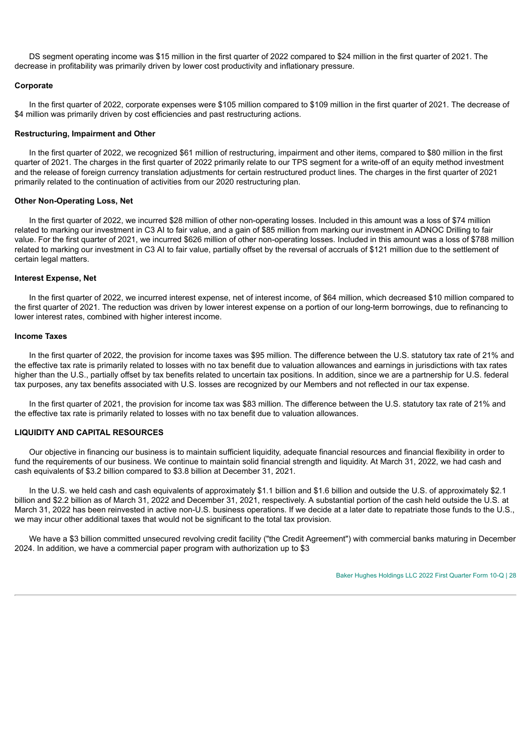DS segment operating income was \$15 million in the first quarter of 2022 compared to \$24 million in the first quarter of 2021. The decrease in profitability was primarily driven by lower cost productivity and inflationary pressure.

#### **Corporate**

In the first quarter of 2022, corporate expenses were \$105 million compared to \$109 million in the first quarter of 2021. The decrease of \$4 million was primarily driven by cost efficiencies and past restructuring actions.

#### **Restructuring, Impairment and Other**

In the first quarter of 2022, we recognized \$61 million of restructuring, impairment and other items, compared to \$80 million in the first quarter of 2021. The charges in the first quarter of 2022 primarily relate to our TPS segment for a write-off of an equity method investment and the release of foreign currency translation adjustments for certain restructured product lines. The charges in the first quarter of 2021 primarily related to the continuation of activities from our 2020 restructuring plan.

#### **Other Non-Operating Loss, Net**

In the first quarter of 2022, we incurred \$28 million of other non-operating losses. Included in this amount was a loss of \$74 million related to marking our investment in C3 AI to fair value, and a gain of \$85 million from marking our investment in ADNOC Drilling to fair value. For the first quarter of 2021, we incurred \$626 million of other non-operating losses. Included in this amount was a loss of \$788 million related to marking our investment in C3 AI to fair value, partially offset by the reversal of accruals of \$121 million due to the settlement of certain legal matters.

## **Interest Expense, Net**

In the first quarter of 2022, we incurred interest expense, net of interest income, of \$64 million, which decreased \$10 million compared to the first quarter of 2021. The reduction was driven by lower interest expense on a portion of our long-term borrowings, due to refinancing to lower interest rates, combined with higher interest income.

## **Income Taxes**

In the first quarter of 2022, the provision for income taxes was \$95 million. The difference between the U.S. statutory tax rate of 21% and the effective tax rate is primarily related to losses with no tax benefit due to valuation allowances and earnings in jurisdictions with tax rates higher than the U.S., partially offset by tax benefits related to uncertain tax positions. In addition, since we are a partnership for U.S. federal tax purposes, any tax benefits associated with U.S. losses are recognized by our Members and not reflected in our tax expense.

In the first quarter of 2021, the provision for income tax was \$83 million. The difference between the U.S. statutory tax rate of 21% and the effective tax rate is primarily related to losses with no tax benefit due to valuation allowances.

#### **LIQUIDITY AND CAPITAL RESOURCES**

Our objective in financing our business is to maintain sufficient liquidity, adequate financial resources and financial flexibility in order to fund the requirements of our business. We continue to maintain solid financial strength and liquidity. At March 31, 2022, we had cash and cash equivalents of \$3.2 billion compared to \$3.8 billion at December 31, 2021.

In the U.S. we held cash and cash equivalents of approximately \$1.1 billion and \$1.6 billion and outside the U.S. of approximately \$2.1 billion and \$2.2 billion as of March 31, 2022 and December 31, 2021, respectively. A substantial portion of the cash held outside the U.S. at March 31, 2022 has been reinvested in active non-U.S. business operations. If we decide at a later date to repatriate those funds to the U.S., we may incur other additional taxes that would not be significant to the total tax provision.

We have a \$3 billion committed unsecured revolving credit facility ("the Credit Agreement") with commercial banks maturing in December 2024. In addition, we have a commercial paper program with authorization up to \$3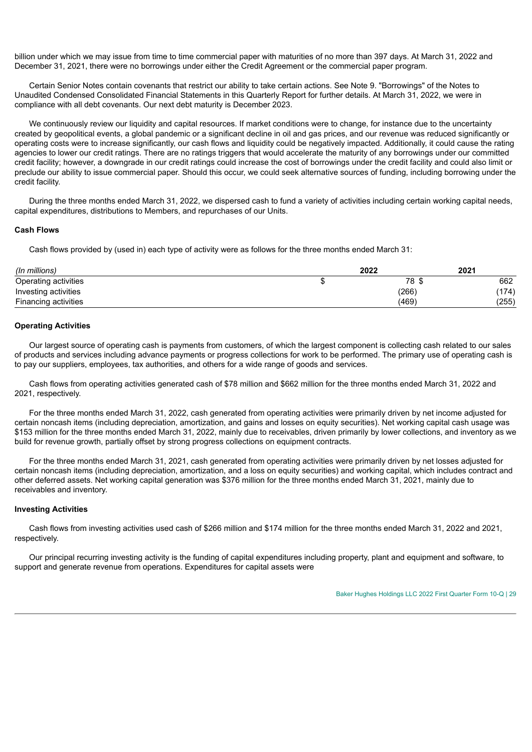billion under which we may issue from time to time commercial paper with maturities of no more than 397 days. At March 31, 2022 and December 31, 2021, there were no borrowings under either the Credit Agreement or the commercial paper program.

Certain Senior Notes contain covenants that restrict our ability to take certain actions. See Note 9. "Borrowings" of the Notes to Unaudited Condensed Consolidated Financial Statements in this Quarterly Report for further details. At March 31, 2022, we were in compliance with all debt covenants. Our next debt maturity is December 2023.

We continuously review our liquidity and capital resources. If market conditions were to change, for instance due to the uncertainty created by geopolitical events, a global pandemic or a significant decline in oil and gas prices, and our revenue was reduced significantly or operating costs were to increase significantly, our cash flows and liquidity could be negatively impacted. Additionally, it could cause the rating agencies to lower our credit ratings. There are no ratings triggers that would accelerate the maturity of any borrowings under our committed credit facility; however, a downgrade in our credit ratings could increase the cost of borrowings under the credit facility and could also limit or preclude our ability to issue commercial paper. Should this occur, we could seek alternative sources of funding, including borrowing under the credit facility.

During the three months ended March 31, 2022, we dispersed cash to fund a variety of activities including certain working capital needs, capital expenditures, distributions to Members, and repurchases of our Units.

#### **Cash Flows**

Cash flows provided by (used in) each type of activity were as follows for the three months ended March 31:

| (In millions)        | 2022      | 2021  |
|----------------------|-----------|-------|
| Operating activities | 78<br>- 0 | 662   |
| Investing activities | (266)     | (174) |
| Financing activities | (469)     | (255) |

## **Operating Activities**

Our largest source of operating cash is payments from customers, of which the largest component is collecting cash related to our sales of products and services including advance payments or progress collections for work to be performed. The primary use of operating cash is to pay our suppliers, employees, tax authorities, and others for a wide range of goods and services.

Cash flows from operating activities generated cash of \$78 million and \$662 million for the three months ended March 31, 2022 and 2021, respectively.

For the three months ended March 31, 2022, cash generated from operating activities were primarily driven by net income adjusted for certain noncash items (including depreciation, amortization, and gains and losses on equity securities). Net working capital cash usage was \$153 million for the three months ended March 31, 2022, mainly due to receivables, driven primarily by lower collections, and inventory as we build for revenue growth, partially offset by strong progress collections on equipment contracts.

For the three months ended March 31, 2021, cash generated from operating activities were primarily driven by net losses adjusted for certain noncash items (including depreciation, amortization, and a loss on equity securities) and working capital, which includes contract and other deferred assets. Net working capital generation was \$376 million for the three months ended March 31, 2021, mainly due to receivables and inventory.

#### **Investing Activities**

Cash flows from investing activities used cash of \$266 million and \$174 million for the three months ended March 31, 2022 and 2021, respectively.

Our principal recurring investing activity is the funding of capital expenditures including property, plant and equipment and software, to support and generate revenue from operations. Expenditures for capital assets were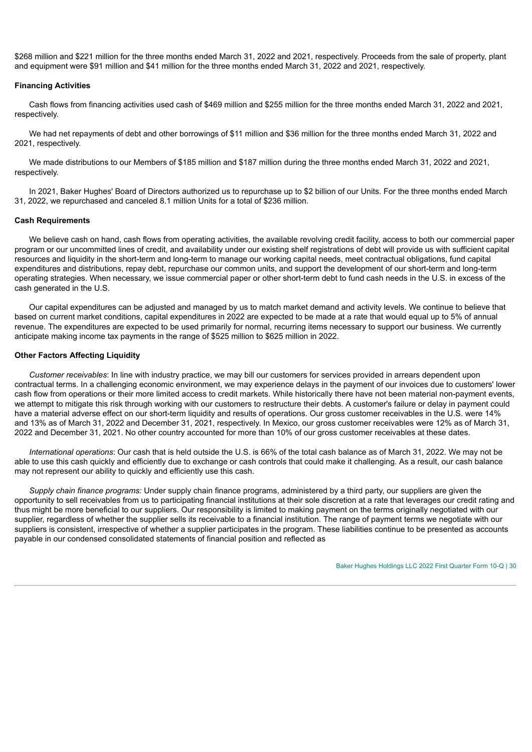\$268 million and \$221 million for the three months ended March 31, 2022 and 2021, respectively. Proceeds from the sale of property, plant and equipment were \$91 million and \$41 million for the three months ended March 31, 2022 and 2021, respectively.

#### **Financing Activities**

Cash flows from financing activities used cash of \$469 million and \$255 million for the three months ended March 31, 2022 and 2021, respectively.

We had net repayments of debt and other borrowings of \$11 million and \$36 million for the three months ended March 31, 2022 and 2021, respectively.

We made distributions to our Members of \$185 million and \$187 million during the three months ended March 31, 2022 and 2021, respectively.

In 2021, Baker Hughes' Board of Directors authorized us to repurchase up to \$2 billion of our Units. For the three months ended March 31, 2022, we repurchased and canceled 8.1 million Units for a total of \$236 million.

#### **Cash Requirements**

We believe cash on hand, cash flows from operating activities, the available revolving credit facility, access to both our commercial paper program or our uncommitted lines of credit, and availability under our existing shelf registrations of debt will provide us with sufficient capital resources and liquidity in the short-term and long-term to manage our working capital needs, meet contractual obligations, fund capital expenditures and distributions, repay debt, repurchase our common units, and support the development of our short-term and long-term operating strategies. When necessary, we issue commercial paper or other short-term debt to fund cash needs in the U.S. in excess of the cash generated in the U.S.

Our capital expenditures can be adjusted and managed by us to match market demand and activity levels. We continue to believe that based on current market conditions, capital expenditures in 2022 are expected to be made at a rate that would equal up to 5% of annual revenue. The expenditures are expected to be used primarily for normal, recurring items necessary to support our business. We currently anticipate making income tax payments in the range of \$525 million to \$625 million in 2022.

#### **Other Factors Affecting Liquidity**

*Customer receivables*: In line with industry practice, we may bill our customers for services provided in arrears dependent upon contractual terms. In a challenging economic environment, we may experience delays in the payment of our invoices due to customers' lower cash flow from operations or their more limited access to credit markets. While historically there have not been material non-payment events, we attempt to mitigate this risk through working with our customers to restructure their debts. A customer's failure or delay in payment could have a material adverse effect on our short-term liquidity and results of operations. Our gross customer receivables in the U.S. were 14% and 13% as of March 31, 2022 and December 31, 2021, respectively. In Mexico, our gross customer receivables were 12% as of March 31, 2022 and December 31, 2021. No other country accounted for more than 10% of our gross customer receivables at these dates.

*International operations*: Our cash that is held outside the U.S. is 66% of the total cash balance as of March 31, 2022. We may not be able to use this cash quickly and efficiently due to exchange or cash controls that could make it challenging. As a result, our cash balance may not represent our ability to quickly and efficiently use this cash.

*Supply chain finance programs:* Under supply chain finance programs, administered by a third party, our suppliers are given the opportunity to sell receivables from us to participating financial institutions at their sole discretion at a rate that leverages our credit rating and thus might be more beneficial to our suppliers. Our responsibility is limited to making payment on the terms originally negotiated with our supplier, regardless of whether the supplier sells its receivable to a financial institution. The range of payment terms we negotiate with our suppliers is consistent, irrespective of whether a supplier participates in the program. These liabilities continue to be presented as accounts payable in our condensed consolidated statements of financial position and reflected as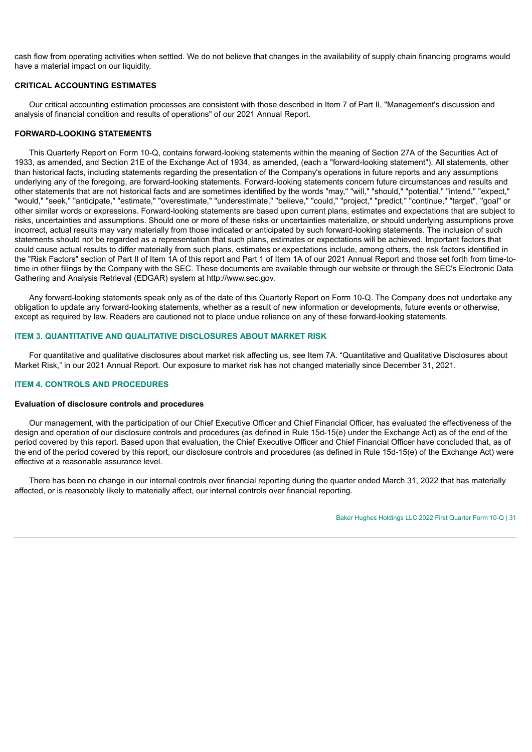cash flow from operating activities when settled. We do not believe that changes in the availability of supply chain financing programs would have a material impact on our liquidity.

## **CRITICAL ACCOUNTING ESTIMATES**

Our critical accounting estimation processes are consistent with those described in Item 7 of Part II, "Management's discussion and analysis of financial condition and results of operations" of our 2021 Annual Report.

#### **FORWARD-LOOKING STATEMENTS**

This Quarterly Report on Form 10-Q, contains forward-looking statements within the meaning of Section 27A of the Securities Act of 1933, as amended, and Section 21E of the Exchange Act of 1934, as amended, (each a "forward-looking statement"). All statements, other than historical facts, including statements regarding the presentation of the Company's operations in future reports and any assumptions underlying any of the foregoing, are forward-looking statements. Forward-looking statements concern future circumstances and results and other statements that are not historical facts and are sometimes identified by the words "may," "will," "should," "potential," "intend," "expect," "would," "seek," "anticipate," "estimate," "overestimate," "underestimate," "believe," "could," "project," "predict," "continue," "target", "goal" or other similar words or expressions. Forward-looking statements are based upon current plans, estimates and expectations that are subject to risks, uncertainties and assumptions. Should one or more of these risks or uncertainties materialize, or should underlying assumptions prove incorrect, actual results may vary materially from those indicated or anticipated by such forward-looking statements. The inclusion of such statements should not be regarded as a representation that such plans, estimates or expectations will be achieved. Important factors that could cause actual results to differ materially from such plans, estimates or expectations include, among others, the risk factors identified in the "Risk Factors" section of Part II of Item 1A of this report and Part 1 of Item 1A of our 2021 Annual Report and those set forth from time-totime in other filings by the Company with the SEC. These documents are available through our website or through the SEC's Electronic Data Gathering and Analysis Retrieval (EDGAR) system at http://www.sec.gov.

Any forward-looking statements speak only as of the date of this Quarterly Report on Form 10-Q. The Company does not undertake any obligation to update any forward-looking statements, whether as a result of new information or developments, future events or otherwise, except as required by law. Readers are cautioned not to place undue reliance on any of these forward-looking statements.

## <span id="page-32-0"></span>**ITEM 3. QUANTITATIVE AND QUALITATIVE DISCLOSURES ABOUT MARKET RISK**

For quantitative and qualitative disclosures about market risk affecting us, see Item 7A. "Quantitative and Qualitative Disclosures about Market Risk," in our 2021 Annual Report. Our exposure to market risk has not changed materially since December 31, 2021.

#### <span id="page-32-1"></span>**ITEM 4. CONTROLS AND PROCEDURES**

#### **Evaluation of disclosure controls and procedures**

Our management, with the participation of our Chief Executive Officer and Chief Financial Officer, has evaluated the effectiveness of the design and operation of our disclosure controls and procedures (as defined in Rule 15d-15(e) under the Exchange Act) as of the end of the period covered by this report. Based upon that evaluation, the Chief Executive Officer and Chief Financial Officer have concluded that. as of the end of the period covered by this report, our disclosure controls and procedures (as defined in Rule 15d-15(e) of the Exchange Act) were effective at a reasonable assurance level.

<span id="page-32-2"></span>There has been no change in our internal controls over financial reporting during the quarter ended March 31, 2022 that has materially affected, or is reasonably likely to materially affect, our internal controls over financial reporting.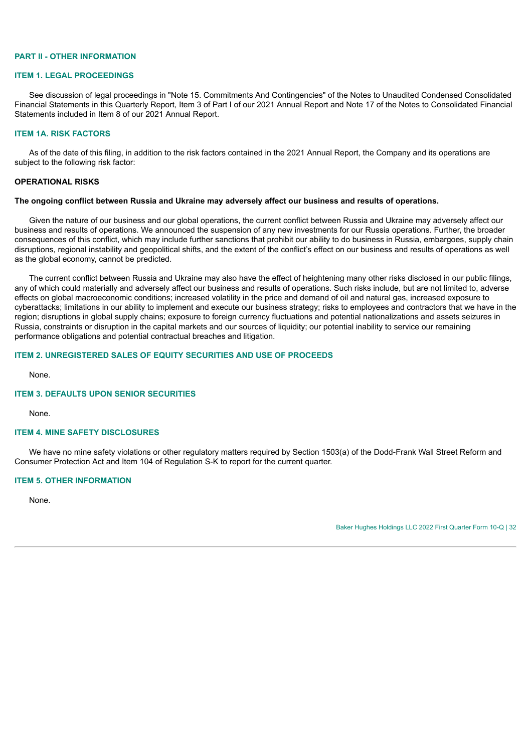#### <span id="page-33-0"></span>**PART II - OTHER INFORMATION**

#### **ITEM 1. LEGAL PROCEEDINGS**

See discussion of legal proceedings in "Note 15. Commitments And Contingencies" of the Notes to Unaudited Condensed Consolidated Financial Statements in this Quarterly Report, Item 3 of Part I of our 2021 Annual Report and Note 17 of the Notes to Consolidated Financial Statements included in Item 8 of our 2021 Annual Report.

#### <span id="page-33-1"></span>**ITEM 1A. RISK FACTORS**

As of the date of this filing, in addition to the risk factors contained in the 2021 Annual Report, the Company and its operations are subject to the following risk factor:

#### **OPERATIONAL RISKS**

#### **The ongoing conflict between Russia and Ukraine may adversely affect our business and results of operations.**

Given the nature of our business and our global operations, the current conflict between Russia and Ukraine may adversely affect our business and results of operations. We announced the suspension of any new investments for our Russia operations. Further, the broader consequences of this conflict, which may include further sanctions that prohibit our ability to do business in Russia, embargoes, supply chain disruptions, regional instability and geopolitical shifts, and the extent of the conflict's effect on our business and results of operations as well as the global economy, cannot be predicted.

The current conflict between Russia and Ukraine may also have the effect of heightening many other risks disclosed in our public filings, any of which could materially and adversely affect our business and results of operations. Such risks include, but are not limited to, adverse effects on global macroeconomic conditions; increased volatility in the price and demand of oil and natural gas, increased exposure to cyberattacks; limitations in our ability to implement and execute our business strategy; risks to employees and contractors that we have in the region; disruptions in global supply chains; exposure to foreign currency fluctuations and potential nationalizations and assets seizures in Russia, constraints or disruption in the capital markets and our sources of liquidity; our potential inability to service our remaining performance obligations and potential contractual breaches and litigation.

#### <span id="page-33-2"></span>**ITEM 2. UNREGISTERED SALES OF EQUITY SECURITIES AND USE OF PROCEEDS**

None.

#### <span id="page-33-3"></span>**ITEM 3. DEFAULTS UPON SENIOR SECURITIES**

None.

## <span id="page-33-4"></span>**ITEM 4. MINE SAFETY DISCLOSURES**

We have no mine safety violations or other regulatory matters required by Section 1503(a) of the Dodd-Frank Wall Street Reform and Consumer Protection Act and Item 104 of Regulation S-K to report for the current quarter.

#### <span id="page-33-5"></span>**ITEM 5. OTHER INFORMATION**

<span id="page-33-6"></span>None.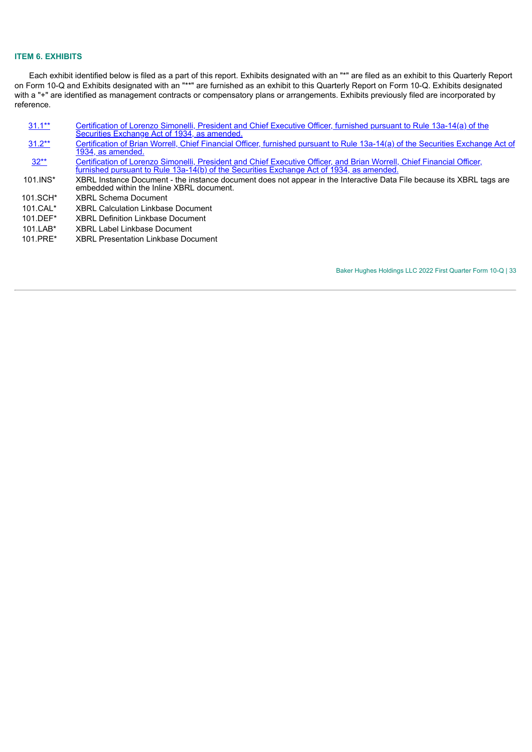## **ITEM 6. EXHIBITS**

Each exhibit identified below is filed as a part of this report. Exhibits designated with an "\*" are filed as an exhibit to this Quarterly Report on Form 10-Q and Exhibits designated with an "\*\*" are furnished as an exhibit to this Quarterly Report on Form 10-Q. Exhibits designated with a "+" are identified as management contracts or compensatory plans or arrangements. Exhibits previously filed are incorporated by reference.

<span id="page-34-0"></span>

| $31.1***$ | Certification of Lorenzo Simonelli, President and Chief Executive Officer, furnished pursuant to Rule 13a-14(a) of the<br>Securities Exchange Act of 1934, as amended.                                             |
|-----------|--------------------------------------------------------------------------------------------------------------------------------------------------------------------------------------------------------------------|
| $31.2**$  | Certification of Brian Worrell, Chief Financial Officer, furnished pursuant to Rule 13a-14(a) of the Securities Exchange Act of<br>1934, as amended.                                                               |
| $32**$    | Certification of Lorenzo Simonelli, President and Chief Executive Officer, and Brian Worrell, Chief Financial Officer,<br>furnished pursuant to Rule 13a-14(b) of the Securities Exchange Act of 1934, as amended. |
| 101.INS*  | XBRL Instance Document - the instance document does not appear in the Interactive Data File because its XBRL tags are<br>embedded within the Inline XBRL document.                                                 |
| 101.SCH*  | <b>XBRL Schema Document</b>                                                                                                                                                                                        |
| 101.CAL*  | <b>XBRL Calculation Linkbase Document</b>                                                                                                                                                                          |
| 101.DEF*  | <b>XBRL Definition Linkbase Document</b>                                                                                                                                                                           |
| 101.LAB*  | XBRL Label Linkbase Document                                                                                                                                                                                       |
| 101.PRE*  | <b>XBRL Presentation Linkbase Document</b>                                                                                                                                                                         |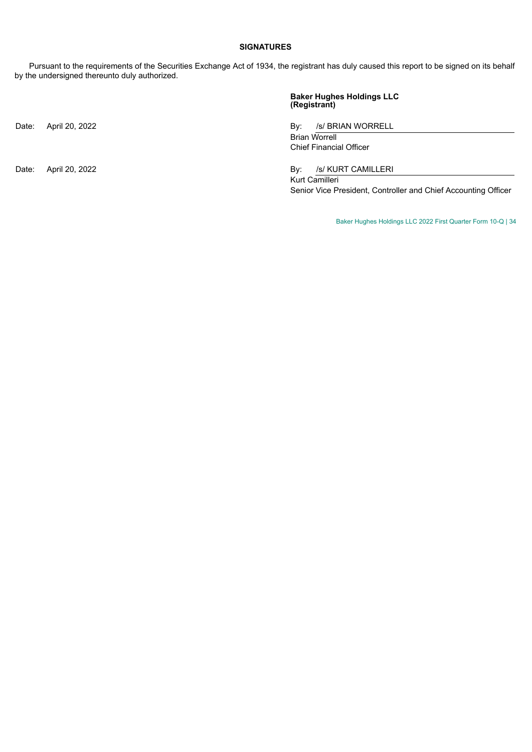# **SIGNATURES**

Pursuant to the requirements of the Securities Exchange Act of 1934, the registrant has duly caused this report to be signed on its behalf by the undersigned thereunto duly authorized.

#### **Baker Hughes Holdings LLC (Registrant)**

Date: April 20, 2022 **By:** /s/ BRIAN WORRELL

Brian Worrell Chief Financial Officer

Date: April 20, 2022 **By: Accord Accord Accord Accord Accord Accord Accord Accord Accord By: Accord Accord Accord Accord Accord Accord By: Accord Accord Accord Accord Accord Accord Accord Accord Accord Accord Accord Accord** 

Kurt Camilleri Senior Vice President, Controller and Chief Accounting Officer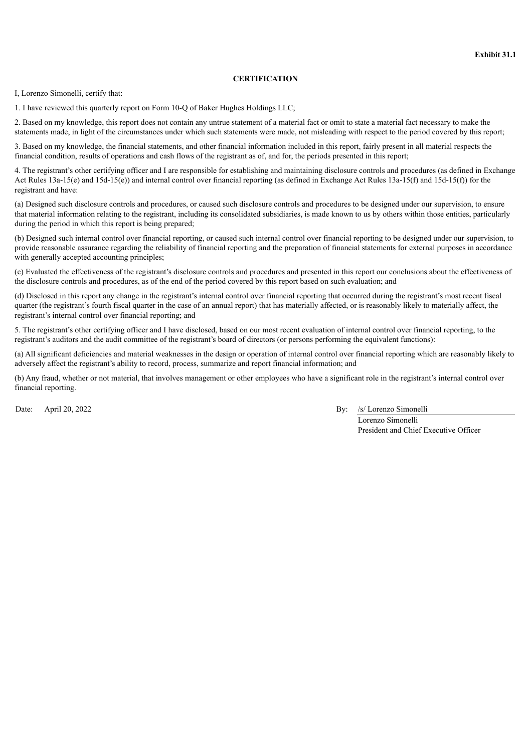#### **CERTIFICATION**

<span id="page-36-0"></span>I, Lorenzo Simonelli, certify that:

1. I have reviewed this quarterly report on Form 10-Q of Baker Hughes Holdings LLC;

2. Based on my knowledge, this report does not contain any untrue statement of a material fact or omit to state a material fact necessary to make the statements made, in light of the circumstances under which such statements were made, not misleading with respect to the period covered by this report;

3. Based on my knowledge, the financial statements, and other financial information included in this report, fairly present in all material respects the financial condition, results of operations and cash flows of the registrant as of, and for, the periods presented in this report;

4. The registrant's other certifying officer and I are responsible for establishing and maintaining disclosure controls and procedures (as defined in Exchange Act Rules 13a-15(e) and 15d-15(e)) and internal control over financial reporting (as defined in Exchange Act Rules 13a-15(f) and 15d-15(f)) for the registrant and have:

(a) Designed such disclosure controls and procedures, or caused such disclosure controls and procedures to be designed under our supervision, to ensure that material information relating to the registrant, including its consolidated subsidiaries, is made known to us by others within those entities, particularly during the period in which this report is being prepared;

(b) Designed such internal control over financial reporting, or caused such internal control over financial reporting to be designed under our supervision, to provide reasonable assurance regarding the reliability of financial reporting and the preparation of financial statements for external purposes in accordance with generally accepted accounting principles;

(c) Evaluated the effectiveness of the registrant's disclosure controls and procedures and presented in this report our conclusions about the effectiveness of the disclosure controls and procedures, as of the end of the period covered by this report based on such evaluation; and

(d) Disclosed in this report any change in the registrant's internal control over financial reporting that occurred during the registrant's most recent fiscal quarter (the registrant's fourth fiscal quarter in the case of an annual report) that has materially affected, or is reasonably likely to materially affect, the registrant's internal control over financial reporting; and

5. The registrant's other certifying officer and I have disclosed, based on our most recent evaluation of internal control over financial reporting, to the registrant's auditors and the audit committee of the registrant's board of directors (or persons performing the equivalent functions):

(a) All significant deficiencies and material weaknesses in the design or operation of internal control over financial reporting which are reasonably likely to adversely affect the registrant's ability to record, process, summarize and report financial information; and

(b) Any fraud, whether or not material, that involves management or other employees who have a significant role in the registrant's internal control over financial reporting.

Date: April 20, 2022  $\frac{1}{2}$  April 20, 2022

Lorenzo Simonelli President and Chief Executive Officer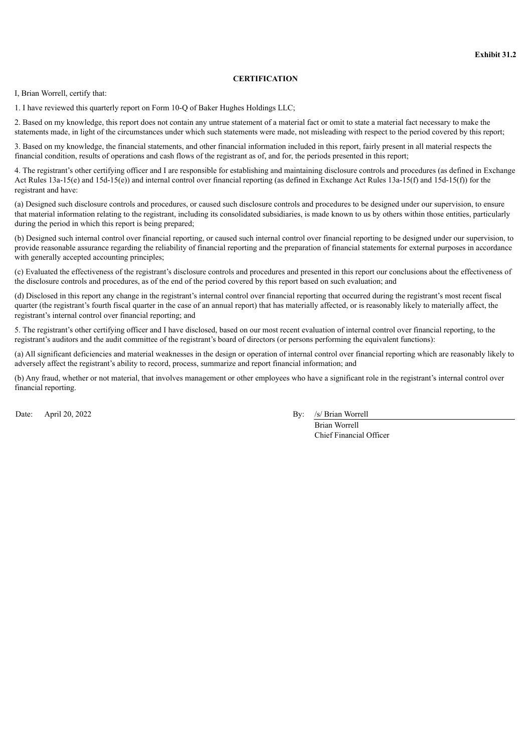#### **CERTIFICATION**

<span id="page-37-0"></span>I, Brian Worrell, certify that:

1. I have reviewed this quarterly report on Form 10-Q of Baker Hughes Holdings LLC;

2. Based on my knowledge, this report does not contain any untrue statement of a material fact or omit to state a material fact necessary to make the statements made, in light of the circumstances under which such statements were made, not misleading with respect to the period covered by this report;

3. Based on my knowledge, the financial statements, and other financial information included in this report, fairly present in all material respects the financial condition, results of operations and cash flows of the registrant as of, and for, the periods presented in this report;

4. The registrant's other certifying officer and I are responsible for establishing and maintaining disclosure controls and procedures (as defined in Exchange Act Rules 13a-15(e) and 15d-15(e)) and internal control over financial reporting (as defined in Exchange Act Rules 13a-15(f) and 15d-15(f)) for the registrant and have:

(a) Designed such disclosure controls and procedures, or caused such disclosure controls and procedures to be designed under our supervision, to ensure that material information relating to the registrant, including its consolidated subsidiaries, is made known to us by others within those entities, particularly during the period in which this report is being prepared;

(b) Designed such internal control over financial reporting, or caused such internal control over financial reporting to be designed under our supervision, to provide reasonable assurance regarding the reliability of financial reporting and the preparation of financial statements for external purposes in accordance with generally accepted accounting principles;

(c) Evaluated the effectiveness of the registrant's disclosure controls and procedures and presented in this report our conclusions about the effectiveness of the disclosure controls and procedures, as of the end of the period covered by this report based on such evaluation; and

(d) Disclosed in this report any change in the registrant's internal control over financial reporting that occurred during the registrant's most recent fiscal quarter (the registrant's fourth fiscal quarter in the case of an annual report) that has materially affected, or is reasonably likely to materially affect, the registrant's internal control over financial reporting; and

5. The registrant's other certifying officer and I have disclosed, based on our most recent evaluation of internal control over financial reporting, to the registrant's auditors and the audit committee of the registrant's board of directors (or persons performing the equivalent functions):

(a) All significant deficiencies and material weaknesses in the design or operation of internal control over financial reporting which are reasonably likely to adversely affect the registrant's ability to record, process, summarize and report financial information; and

(b) Any fraud, whether or not material, that involves management or other employees who have a significant role in the registrant's internal control over financial reporting.

Date: April 20, 2022 By: /s/ Brian Worrell

Brian Worrell Chief Financial Officer